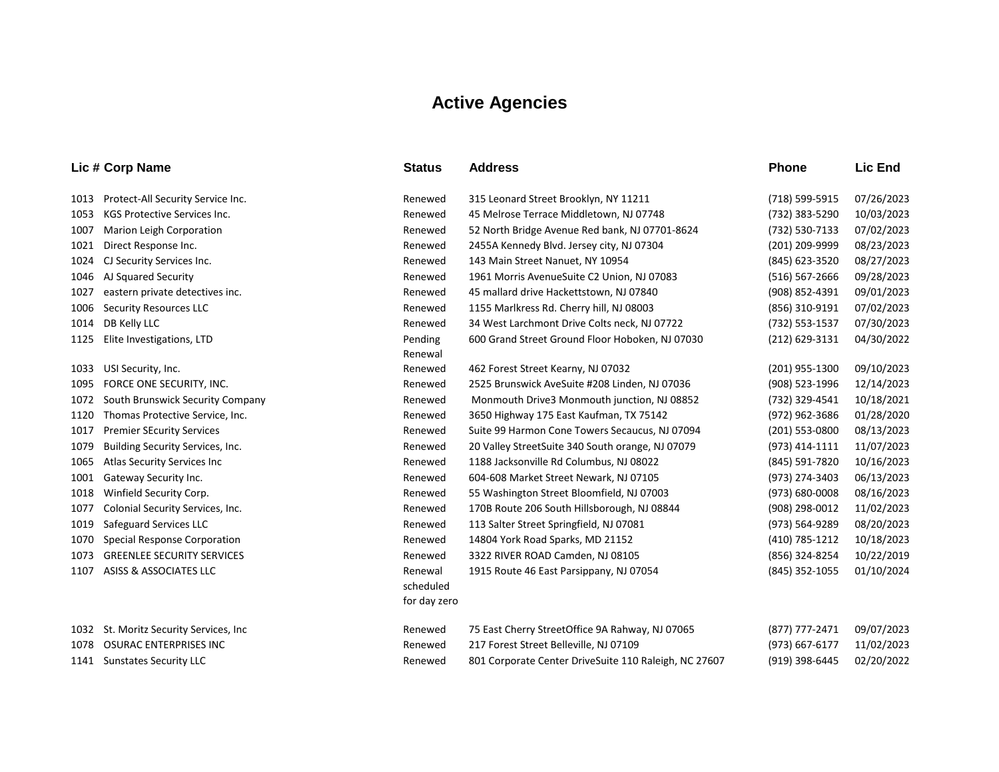## **Active Agencies**

|      | Lic # Corp Name                         | <b>Status</b>             | <b>Address</b>                                        | <b>Phone</b>   | Lic End    |
|------|-----------------------------------------|---------------------------|-------------------------------------------------------|----------------|------------|
| 1013 | Protect-All Security Service Inc.       | Renewed                   | 315 Leonard Street Brooklyn, NY 11211                 | (718) 599-5915 | 07/26/2023 |
| 1053 | <b>KGS Protective Services Inc.</b>     | Renewed                   | 45 Melrose Terrace Middletown, NJ 07748               | (732) 383-5290 | 10/03/2023 |
| 1007 | Marion Leigh Corporation                | Renewed                   | 52 North Bridge Avenue Red bank, NJ 07701-8624        | (732) 530-7133 | 07/02/2023 |
| 1021 | Direct Response Inc.                    | Renewed                   | 2455A Kennedy Blvd. Jersey city, NJ 07304             | (201) 209-9999 | 08/23/2023 |
| 1024 | CJ Security Services Inc.               | Renewed                   | 143 Main Street Nanuet, NY 10954                      | (845) 623-3520 | 08/27/2023 |
| 1046 | AJ Squared Security                     | Renewed                   | 1961 Morris AvenueSuite C2 Union, NJ 07083            | (516) 567-2666 | 09/28/2023 |
| 1027 | eastern private detectives inc.         | Renewed                   | 45 mallard drive Hackettstown, NJ 07840               | (908) 852-4391 | 09/01/2023 |
| 1006 | <b>Security Resources LLC</b>           | Renewed                   | 1155 Marlkress Rd. Cherry hill, NJ 08003              | (856) 310-9191 | 07/02/2023 |
| 1014 | DB Kelly LLC                            | Renewed                   | 34 West Larchmont Drive Colts neck, NJ 07722          | (732) 553-1537 | 07/30/2023 |
| 1125 | Elite Investigations, LTD               | Pending<br>Renewal        | 600 Grand Street Ground Floor Hoboken, NJ 07030       | (212) 629-3131 | 04/30/2022 |
| 1033 | USI Security, Inc.                      | Renewed                   | 462 Forest Street Kearny, NJ 07032                    | (201) 955-1300 | 09/10/2023 |
| 1095 | FORCE ONE SECURITY, INC.                | Renewed                   | 2525 Brunswick AveSuite #208 Linden, NJ 07036         | (908) 523-1996 | 12/14/2023 |
| 1072 | South Brunswick Security Company        | Renewed                   | Monmouth Drive3 Monmouth junction, NJ 08852           | (732) 329-4541 | 10/18/2021 |
| 1120 | Thomas Protective Service, Inc.         | Renewed                   | 3650 Highway 175 East Kaufman, TX 75142               | (972) 962-3686 | 01/28/2020 |
| 1017 | <b>Premier SEcurity Services</b>        | Renewed                   | Suite 99 Harmon Cone Towers Secaucus, NJ 07094        | (201) 553-0800 | 08/13/2023 |
| 1079 | Building Security Services, Inc.        | Renewed                   | 20 Valley StreetSuite 340 South orange, NJ 07079      | (973) 414-1111 | 11/07/2023 |
| 1065 | Atlas Security Services Inc             | Renewed                   | 1188 Jacksonville Rd Columbus, NJ 08022               | (845) 591-7820 | 10/16/2023 |
| 1001 | Gateway Security Inc.                   | Renewed                   | 604-608 Market Street Newark, NJ 07105                | (973) 274-3403 | 06/13/2023 |
| 1018 | Winfield Security Corp.                 | Renewed                   | 55 Washington Street Bloomfield, NJ 07003             | (973) 680-0008 | 08/16/2023 |
| 1077 | Colonial Security Services, Inc.        | Renewed                   | 170B Route 206 South Hillsborough, NJ 08844           | (908) 298-0012 | 11/02/2023 |
| 1019 | Safeguard Services LLC                  | Renewed                   | 113 Salter Street Springfield, NJ 07081               | (973) 564-9289 | 08/20/2023 |
| 1070 | Special Response Corporation            | Renewed                   | 14804 York Road Sparks, MD 21152                      | (410) 785-1212 | 10/18/2023 |
| 1073 | <b>GREENLEE SECURITY SERVICES</b>       | Renewed                   | 3322 RIVER ROAD Camden, NJ 08105                      | (856) 324-8254 | 10/22/2019 |
| 1107 | ASISS & ASSOCIATES LLC                  | Renewal                   | 1915 Route 46 East Parsippany, NJ 07054               | (845) 352-1055 | 01/10/2024 |
|      |                                         | scheduled<br>for day zero |                                                       |                |            |
|      | 1032 St. Moritz Security Services, Inc. | Renewed                   | 75 East Cherry StreetOffice 9A Rahway, NJ 07065       | (877) 777-2471 | 09/07/2023 |
| 1078 | <b>OSURAC ENTERPRISES INC</b>           | Renewed                   | 217 Forest Street Belleville, NJ 07109                | (973) 667-6177 | 11/02/2023 |
|      | 1141 Sunstates Security LLC             | Renewed                   | 801 Corporate Center DriveSuite 110 Raleigh, NC 27607 | (919) 398-6445 | 02/20/2022 |

## **Lic # Corp Nan**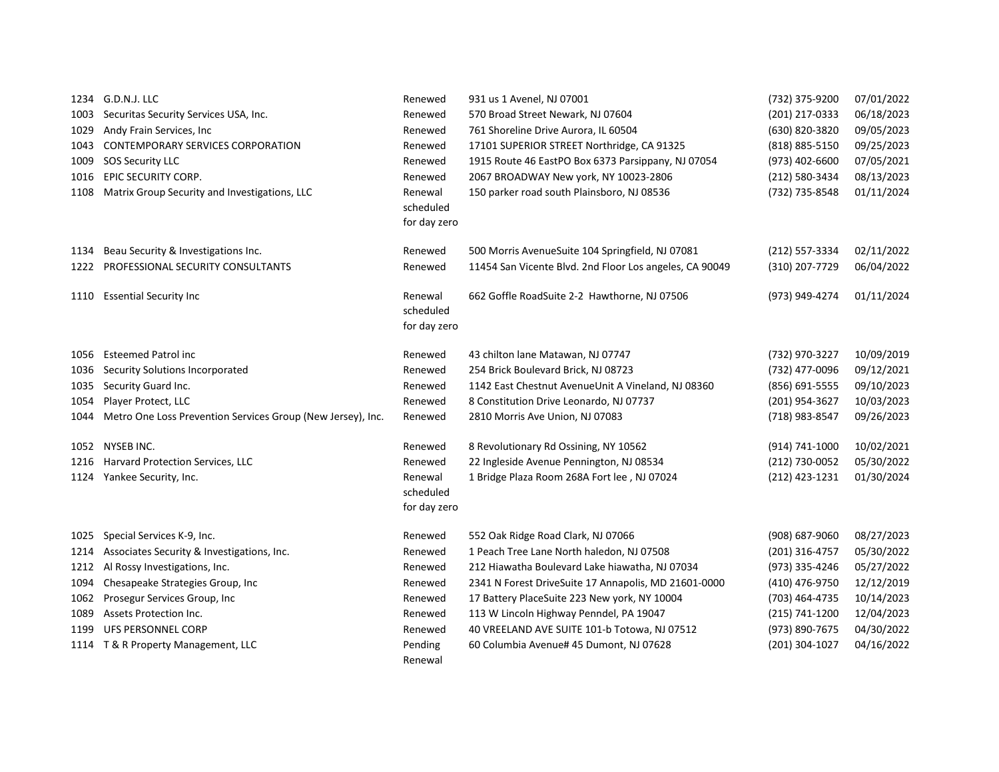|      | 1234 G.D.N.J. LLC                                           | Renewed                              | 931 us 1 Avenel, NJ 07001                               | (732) 375-9200 | 07/01/2022 |
|------|-------------------------------------------------------------|--------------------------------------|---------------------------------------------------------|----------------|------------|
| 1003 | Securitas Security Services USA, Inc.                       | Renewed                              | 570 Broad Street Newark, NJ 07604                       | (201) 217-0333 | 06/18/2023 |
| 1029 | Andy Frain Services, Inc.                                   | Renewed                              | 761 Shoreline Drive Aurora, IL 60504                    | (630) 820-3820 | 09/05/2023 |
| 1043 | <b>CONTEMPORARY SERVICES CORPORATION</b>                    | Renewed                              | 17101 SUPERIOR STREET Northridge, CA 91325              | (818) 885-5150 | 09/25/2023 |
| 1009 | <b>SOS Security LLC</b>                                     | Renewed                              | 1915 Route 46 EastPO Box 6373 Parsippany, NJ 07054      | (973) 402-6600 | 07/05/2021 |
| 1016 | EPIC SECURITY CORP.                                         | Renewed                              | 2067 BROADWAY New york, NY 10023-2806                   | (212) 580-3434 | 08/13/2023 |
| 1108 | Matrix Group Security and Investigations, LLC               | Renewal<br>scheduled<br>for day zero | 150 parker road south Plainsboro, NJ 08536              | (732) 735-8548 | 01/11/2024 |
| 1134 | Beau Security & Investigations Inc.                         | Renewed                              | 500 Morris AvenueSuite 104 Springfield, NJ 07081        | (212) 557-3334 | 02/11/2022 |
| 1222 | PROFESSIONAL SECURITY CONSULTANTS                           | Renewed                              | 11454 San Vicente Blvd. 2nd Floor Los angeles, CA 90049 | (310) 207-7729 | 06/04/2022 |
| 1110 | <b>Essential Security Inc</b>                               | Renewal<br>scheduled<br>for day zero | 662 Goffle RoadSuite 2-2 Hawthorne, NJ 07506            | (973) 949-4274 | 01/11/2024 |
| 1056 | <b>Esteemed Patrol inc</b>                                  | Renewed                              | 43 chilton lane Matawan, NJ 07747                       | (732) 970-3227 | 10/09/2019 |
| 1036 | Security Solutions Incorporated                             | Renewed                              | 254 Brick Boulevard Brick, NJ 08723                     | (732) 477-0096 | 09/12/2021 |
| 1035 | Security Guard Inc.                                         | Renewed                              | 1142 East Chestnut AvenueUnit A Vineland, NJ 08360      | (856) 691-5555 | 09/10/2023 |
| 1054 | Player Protect, LLC                                         | Renewed                              | 8 Constitution Drive Leonardo, NJ 07737                 | (201) 954-3627 | 10/03/2023 |
| 1044 | Metro One Loss Prevention Services Group (New Jersey), Inc. | Renewed                              | 2810 Morris Ave Union, NJ 07083                         | (718) 983-8547 | 09/26/2023 |
| 1052 | NYSEB INC.                                                  | Renewed                              | 8 Revolutionary Rd Ossining, NY 10562                   | (914) 741-1000 | 10/02/2021 |
| 1216 | Harvard Protection Services, LLC                            | Renewed                              | 22 Ingleside Avenue Pennington, NJ 08534                | (212) 730-0052 | 05/30/2022 |
| 1124 | Yankee Security, Inc.                                       | Renewal<br>scheduled<br>for day zero | 1 Bridge Plaza Room 268A Fort lee, NJ 07024             | (212) 423-1231 | 01/30/2024 |
| 1025 | Special Services K-9, Inc.                                  | Renewed                              | 552 Oak Ridge Road Clark, NJ 07066                      | (908) 687-9060 | 08/27/2023 |
| 1214 | Associates Security & Investigations, Inc.                  | Renewed                              | 1 Peach Tree Lane North haledon, NJ 07508               | (201) 316-4757 | 05/30/2022 |
| 1212 | Al Rossy Investigations, Inc.                               | Renewed                              | 212 Hiawatha Boulevard Lake hiawatha, NJ 07034          | (973) 335-4246 | 05/27/2022 |
| 1094 | Chesapeake Strategies Group, Inc                            | Renewed                              | 2341 N Forest DriveSuite 17 Annapolis, MD 21601-0000    | (410) 476-9750 | 12/12/2019 |
| 1062 | Prosegur Services Group, Inc                                | Renewed                              | 17 Battery PlaceSuite 223 New york, NY 10004            | (703) 464-4735 | 10/14/2023 |
| 1089 | <b>Assets Protection Inc.</b>                               | Renewed                              | 113 W Lincoln Highway Penndel, PA 19047                 | (215) 741-1200 | 12/04/2023 |
| 1199 | UFS PERSONNEL CORP                                          | Renewed                              | 40 VREELAND AVE SUITE 101-b Totowa, NJ 07512            | (973) 890-7675 | 04/30/2022 |
|      | 1114 T & R Property Management, LLC                         | Pending<br>Renewal                   | 60 Columbia Avenue# 45 Dumont, NJ 07628                 | (201) 304-1027 | 04/16/2022 |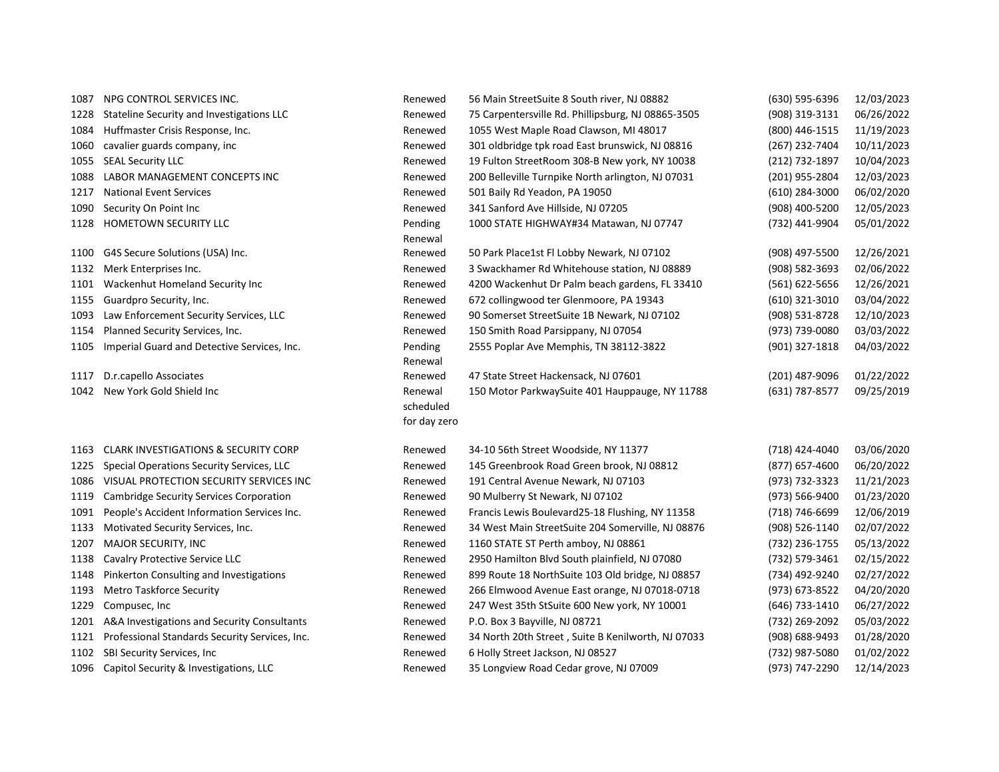| 1087 | NPG CONTROL SERVICES INC.                       | Renewed      | 56 Main StreetSuite 8 South river, NJ 08882        | (630) 595-6396   | 12/03/2023 |
|------|-------------------------------------------------|--------------|----------------------------------------------------|------------------|------------|
| 1228 | Stateline Security and Investigations LLC       | Renewed      | 75 Carpentersville Rd. Phillipsburg, NJ 08865-3505 | (908) 319-3131   | 06/26/2022 |
| 1084 | Huffmaster Crisis Response, Inc.                | Renewed      | 1055 West Maple Road Clawson, MI 48017             | (800) 446-1515   | 11/19/2023 |
| 1060 | cavalier guards company, inc                    | Renewed      | 301 oldbridge tpk road East brunswick, NJ 08816    | (267) 232-7404   | 10/11/2023 |
| 1055 | <b>SEAL Security LLC</b>                        | Renewed      | 19 Fulton StreetRoom 308-B New york, NY 10038      | (212) 732-1897   | 10/04/2023 |
| 1088 | LABOR MANAGEMENT CONCEPTS INC                   | Renewed      | 200 Belleville Turnpike North arlington, NJ 07031  | (201) 955-2804   | 12/03/2023 |
| 1217 | <b>National Event Services</b>                  | Renewed      | 501 Baily Rd Yeadon, PA 19050                      | $(610)$ 284-3000 | 06/02/2020 |
| 1090 | Security On Point Inc                           | Renewed      | 341 Sanford Ave Hillside, NJ 07205                 | (908) 400-5200   | 12/05/2023 |
| 1128 | HOMETOWN SECURITY LLC                           | Pending      | 1000 STATE HIGHWAY#34 Matawan, NJ 07747            | (732) 441-9904   | 05/01/2022 |
|      |                                                 | Renewal      |                                                    |                  |            |
| 1100 | G4S Secure Solutions (USA) Inc.                 | Renewed      | 50 Park Place1st Fl Lobby Newark, NJ 07102         | (908) 497-5500   | 12/26/2021 |
| 1132 | Merk Enterprises Inc.                           | Renewed      | 3 Swackhamer Rd Whitehouse station, NJ 08889       | (908) 582-3693   | 02/06/2022 |
| 1101 | Wackenhut Homeland Security Inc                 | Renewed      | 4200 Wackenhut Dr Palm beach gardens, FL 33410     | (561) 622-5656   | 12/26/2021 |
| 1155 | Guardpro Security, Inc.                         | Renewed      | 672 collingwood ter Glenmoore, PA 19343            | (610) 321-3010   | 03/04/2022 |
| 1093 | Law Enforcement Security Services, LLC          | Renewed      | 90 Somerset StreetSuite 1B Newark, NJ 07102        | (908) 531-8728   | 12/10/2023 |
| 1154 | Planned Security Services, Inc.                 | Renewed      | 150 Smith Road Parsippany, NJ 07054                | (973) 739-0080   | 03/03/2022 |
| 1105 | Imperial Guard and Detective Services, Inc.     | Pending      | 2555 Poplar Ave Memphis, TN 38112-3822             | (901) 327-1818   | 04/03/2022 |
|      |                                                 | Renewal      |                                                    |                  |            |
| 1117 | D.r.capello Associates                          | Renewed      | 47 State Street Hackensack, NJ 07601               | (201) 487-9096   | 01/22/2022 |
| 1042 | New York Gold Shield Inc                        | Renewal      | 150 Motor ParkwaySuite 401 Hauppauge, NY 11788     | (631) 787-8577   | 09/25/2019 |
|      |                                                 | scheduled    |                                                    |                  |            |
|      |                                                 | for day zero |                                                    |                  |            |
| 1163 | <b>CLARK INVESTIGATIONS &amp; SECURITY CORP</b> | Renewed      | 34-10 56th Street Woodside, NY 11377               | (718) 424-4040   | 03/06/2020 |
| 1225 | Special Operations Security Services, LLC       | Renewed      | 145 Greenbrook Road Green brook, NJ 08812          | (877) 657-4600   | 06/20/2022 |
| 1086 | VISUAL PROTECTION SECURITY SERVICES INC         | Renewed      | 191 Central Avenue Newark, NJ 07103                | (973) 732-3323   | 11/21/2023 |
| 1119 | Cambridge Security Services Corporation         | Renewed      | 90 Mulberry St Newark, NJ 07102                    | (973) 566-9400   | 01/23/2020 |
| 1091 | People's Accident Information Services Inc.     | Renewed      | Francis Lewis Boulevard25-18 Flushing, NY 11358    | (718) 746-6699   | 12/06/2019 |
| 1133 | Motivated Security Services, Inc.               | Renewed      | 34 West Main StreetSuite 204 Somerville, NJ 08876  | (908) 526-1140   | 02/07/2022 |
| 1207 | <b>MAJOR SECURITY, INC</b>                      | Renewed      | 1160 STATE ST Perth amboy, NJ 08861                | (732) 236-1755   | 05/13/2022 |
| 1138 | Cavalry Protective Service LLC                  | Renewed      | 2950 Hamilton Blvd South plainfield, NJ 07080      | (732) 579-3461   | 02/15/2022 |
| 1148 | Pinkerton Consulting and Investigations         | Renewed      | 899 Route 18 NorthSuite 103 Old bridge, NJ 08857   | (734) 492-9240   | 02/27/2022 |
| 1193 | <b>Metro Taskforce Security</b>                 | Renewed      | 266 Elmwood Avenue East orange, NJ 07018-0718      | (973) 673-8522   | 04/20/2020 |
| 1229 | Compusec, Inc.                                  | Renewed      | 247 West 35th StSuite 600 New york, NY 10001       | (646) 733-1410   | 06/27/2022 |
| 1201 | A&A Investigations and Security Consultants     | Renewed      | P.O. Box 3 Bayville, NJ 08721                      | (732) 269-2092   | 05/03/2022 |
| 1121 | Professional Standards Security Services, Inc.  | Renewed      | 34 North 20th Street, Suite B Kenilworth, NJ 07033 | (908) 688-9493   | 01/28/2020 |
| 1102 | SBI Security Services, Inc.                     | Renewed      | 6 Holly Street Jackson, NJ 08527                   | (732) 987-5080   | 01/02/2022 |
|      | 1096 Capitol Security & Investigations, LLC     | Renewed      | 35 Longview Road Cedar grove, NJ 07009             | (973) 747-2290   | 12/14/2023 |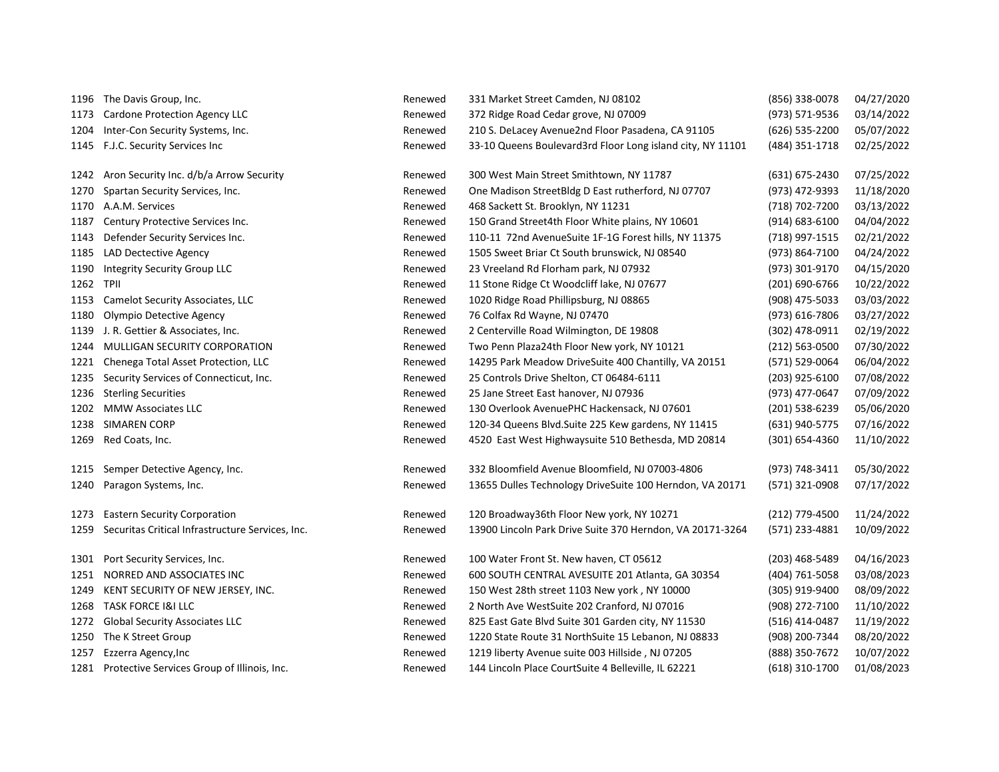|              | 1196 The Davis Group, Inc.                       | Renewed | 331 Market Street Camden, NJ 08102                                                             | (856) 338-0078                   | 04/27/2020 |
|--------------|--------------------------------------------------|---------|------------------------------------------------------------------------------------------------|----------------------------------|------------|
| 1173         | Cardone Protection Agency LLC                    | Renewed | 372 Ridge Road Cedar grove, NJ 07009                                                           | (973) 571-9536                   | 03/14/2022 |
| 1204         | Inter-Con Security Systems, Inc.                 | Renewed | 210 S. DeLacey Avenue2nd Floor Pasadena, CA 91105                                              | (626) 535-2200                   | 05/07/2022 |
|              | 1145 F.J.C. Security Services Inc                | Renewed | 33-10 Queens Boulevard3rd Floor Long island city, NY 11101                                     | (484) 351-1718                   | 02/25/2022 |
|              | Aron Security Inc. d/b/a Arrow Security          | Renewed |                                                                                                |                                  | 07/25/2022 |
| 1242         | Spartan Security Services, Inc.                  | Renewed | 300 West Main Street Smithtown, NY 11787<br>One Madison StreetBldg D East rutherford, NJ 07707 | (631) 675-2430<br>(973) 472-9393 | 11/18/2020 |
| 1270<br>1170 |                                                  |         |                                                                                                | (718) 702-7200                   | 03/13/2022 |
|              | A.A.M. Services                                  | Renewed | 468 Sackett St. Brooklyn, NY 11231                                                             | $(914) 683 - 6100$               | 04/04/2022 |
| 1187         | Century Protective Services Inc.                 | Renewed | 150 Grand Street4th Floor White plains, NY 10601                                               |                                  |            |
| 1143         | Defender Security Services Inc.                  | Renewed | 110-11 72nd AvenueSuite 1F-1G Forest hills, NY 11375                                           | (718) 997-1515                   | 02/21/2022 |
| 1185         | LAD Dectective Agency                            | Renewed | 1505 Sweet Briar Ct South brunswick, NJ 08540                                                  | (973) 864-7100                   | 04/24/2022 |
| 1190         | Integrity Security Group LLC                     | Renewed | 23 Vreeland Rd Florham park, NJ 07932                                                          | (973) 301-9170                   | 04/15/2020 |
| 1262 TPII    |                                                  | Renewed | 11 Stone Ridge Ct Woodcliff lake, NJ 07677                                                     | (201) 690-6766                   | 10/22/2022 |
| 1153         | Camelot Security Associates, LLC                 | Renewed | 1020 Ridge Road Phillipsburg, NJ 08865                                                         | (908) 475-5033                   | 03/03/2022 |
| 1180         | Olympio Detective Agency                         | Renewed | 76 Colfax Rd Wayne, NJ 07470                                                                   | (973) 616-7806                   | 03/27/2022 |
| 1139         | J. R. Gettier & Associates, Inc.                 | Renewed | 2 Centerville Road Wilmington, DE 19808                                                        | (302) 478-0911                   | 02/19/2022 |
| 1244         | MULLIGAN SECURITY CORPORATION                    | Renewed | Two Penn Plaza24th Floor New york, NY 10121                                                    | $(212) 563 - 0500$               | 07/30/2022 |
| 1221         | Chenega Total Asset Protection, LLC              | Renewed | 14295 Park Meadow DriveSuite 400 Chantilly, VA 20151                                           | (571) 529-0064                   | 06/04/2022 |
| 1235         | Security Services of Connecticut, Inc.           | Renewed | 25 Controls Drive Shelton, CT 06484-6111                                                       | (203) 925-6100                   | 07/08/2022 |
| 1236         | <b>Sterling Securities</b>                       | Renewed | 25 Jane Street East hanover, NJ 07936                                                          | (973) 477-0647                   | 07/09/2022 |
|              | 1202 MMW Associates LLC                          | Renewed | 130 Overlook AvenuePHC Hackensack, NJ 07601                                                    | (201) 538-6239                   | 05/06/2020 |
| 1238         | <b>SIMAREN CORP</b>                              | Renewed | 120-34 Queens Blvd. Suite 225 Kew gardens, NY 11415                                            | (631) 940-5775                   | 07/16/2022 |
| 1269         | Red Coats, Inc.                                  | Renewed | 4520 East West Highwaysuite 510 Bethesda, MD 20814                                             | (301) 654-4360                   | 11/10/2022 |
| 1215         | Semper Detective Agency, Inc.                    | Renewed | 332 Bloomfield Avenue Bloomfield, NJ 07003-4806                                                | (973) 748-3411                   | 05/30/2022 |
| 1240         | Paragon Systems, Inc.                            | Renewed | 13655 Dulles Technology DriveSuite 100 Herndon, VA 20171                                       | (571) 321-0908                   | 07/17/2022 |
|              |                                                  |         |                                                                                                |                                  |            |
| 1273         | <b>Eastern Security Corporation</b>              | Renewed | 120 Broadway36th Floor New york, NY 10271                                                      | (212) 779-4500                   | 11/24/2022 |
| 1259         | Securitas Critical Infrastructure Services, Inc. | Renewed | 13900 Lincoln Park Drive Suite 370 Herndon, VA 20171-3264                                      | (571) 233-4881                   | 10/09/2022 |
| 1301         | Port Security Services, Inc.                     | Renewed | 100 Water Front St. New haven, CT 05612                                                        | $(203)$ 468-5489                 | 04/16/2023 |
| 1251         | NORRED AND ASSOCIATES INC                        | Renewed | 600 SOUTH CENTRAL AVESUITE 201 Atlanta, GA 30354                                               | (404) 761-5058                   | 03/08/2023 |
| 1249         | KENT SECURITY OF NEW JERSEY, INC.                | Renewed | 150 West 28th street 1103 New york, NY 10000                                                   | (305) 919-9400                   | 08/09/2022 |
|              | 1268 TASK FORCE I&I LLC                          | Renewed | 2 North Ave WestSuite 202 Cranford, NJ 07016                                                   | (908) 272-7100                   | 11/10/2022 |
|              | 1272 Global Security Associates LLC              | Renewed | 825 East Gate Blvd Suite 301 Garden city, NY 11530                                             | (516) 414-0487                   | 11/19/2022 |
|              | 1250 The K Street Group                          | Renewed | 1220 State Route 31 NorthSuite 15 Lebanon, NJ 08833                                            | (908) 200-7344                   | 08/20/2022 |
| 1257         | Ezzerra Agency, Inc                              | Renewed | 1219 liberty Avenue suite 003 Hillside, NJ 07205                                               | (888) 350-7672                   | 10/07/2022 |
|              | 1281 Protective Services Group of Illinois, Inc. | Renewed | 144 Lincoln Place CourtSuite 4 Belleville, IL 62221                                            | $(618)$ 310-1700                 | 01/08/2023 |
|              |                                                  |         |                                                                                                |                                  |            |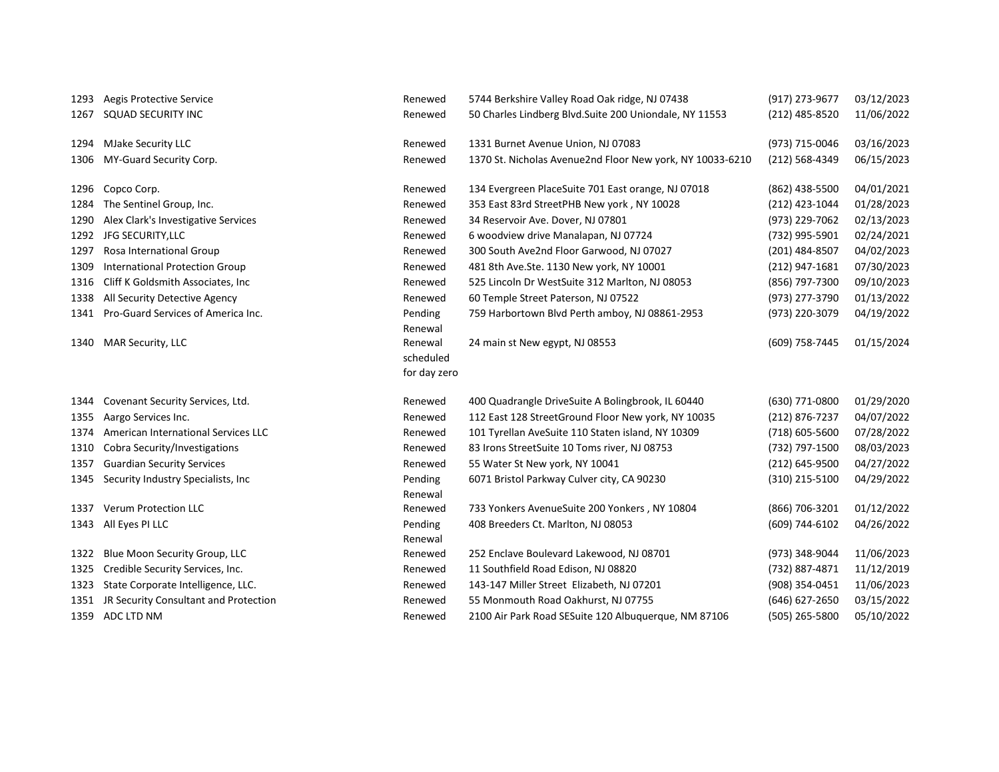| 1293 | Aegis Protective Service              | Renewed            | 5744 Berkshire Valley Road Oak ridge, NJ 07438            | (917) 273-9677 | 03/12/2023 |
|------|---------------------------------------|--------------------|-----------------------------------------------------------|----------------|------------|
| 1267 | <b>SQUAD SECURITY INC</b>             | Renewed            | 50 Charles Lindberg Blvd. Suite 200 Uniondale, NY 11553   | (212) 485-8520 | 11/06/2022 |
|      |                                       |                    |                                                           |                |            |
| 1294 | <b>MJake Security LLC</b>             | Renewed            | 1331 Burnet Avenue Union, NJ 07083                        | (973) 715-0046 | 03/16/2023 |
| 1306 | MY-Guard Security Corp.               | Renewed            | 1370 St. Nicholas Avenue2nd Floor New york, NY 10033-6210 | (212) 568-4349 | 06/15/2023 |
|      |                                       |                    |                                                           |                |            |
| 1296 | Copco Corp.                           | Renewed            | 134 Evergreen PlaceSuite 701 East orange, NJ 07018        | (862) 438-5500 | 04/01/2021 |
| 1284 | The Sentinel Group, Inc.              | Renewed            | 353 East 83rd StreetPHB New york, NY 10028                | (212) 423-1044 | 01/28/2023 |
| 1290 | Alex Clark's Investigative Services   | Renewed            | 34 Reservoir Ave. Dover, NJ 07801                         | (973) 229-7062 | 02/13/2023 |
| 1292 | JFG SECURITY, LLC                     | Renewed            | 6 woodview drive Manalapan, NJ 07724                      | (732) 995-5901 | 02/24/2021 |
| 1297 | Rosa International Group              | Renewed            | 300 South Ave2nd Floor Garwood, NJ 07027                  | (201) 484-8507 | 04/02/2023 |
| 1309 | <b>International Protection Group</b> | Renewed            | 481 8th Ave.Ste. 1130 New york, NY 10001                  | (212) 947-1681 | 07/30/2023 |
| 1316 | Cliff K Goldsmith Associates, Inc.    | Renewed            | 525 Lincoln Dr WestSuite 312 Marlton, NJ 08053            | (856) 797-7300 | 09/10/2023 |
| 1338 | All Security Detective Agency         | Renewed            | 60 Temple Street Paterson, NJ 07522                       | (973) 277-3790 | 01/13/2022 |
| 1341 | Pro-Guard Services of America Inc.    | Pending            | 759 Harbortown Blvd Perth amboy, NJ 08861-2953            | (973) 220-3079 | 04/19/2022 |
|      |                                       | Renewal            |                                                           |                |            |
| 1340 | <b>MAR Security, LLC</b>              | Renewal            | 24 main st New egypt, NJ 08553                            | (609) 758-7445 | 01/15/2024 |
|      |                                       | scheduled          |                                                           |                |            |
|      |                                       | for day zero       |                                                           |                |            |
|      |                                       |                    |                                                           |                |            |
|      |                                       |                    |                                                           |                |            |
| 1344 | Covenant Security Services, Ltd.      | Renewed            | 400 Quadrangle DriveSuite A Bolingbrook, IL 60440         | (630) 771-0800 | 01/29/2020 |
| 1355 | Aargo Services Inc.                   | Renewed            | 112 East 128 StreetGround Floor New york, NY 10035        | (212) 876-7237 | 04/07/2022 |
| 1374 | American International Services LLC   | Renewed            | 101 Tyrellan AveSuite 110 Staten island, NY 10309         | (718) 605-5600 | 07/28/2022 |
| 1310 | Cobra Security/Investigations         | Renewed            | 83 Irons StreetSuite 10 Toms river, NJ 08753              | (732) 797-1500 | 08/03/2023 |
| 1357 | <b>Guardian Security Services</b>     | Renewed            | 55 Water St New york, NY 10041                            | (212) 645-9500 | 04/27/2022 |
| 1345 | Security Industry Specialists, Inc.   | Pending            | 6071 Bristol Parkway Culver city, CA 90230                | (310) 215-5100 | 04/29/2022 |
| 1337 | <b>Verum Protection LLC</b>           | Renewal<br>Renewed |                                                           |                |            |
| 1343 |                                       |                    | 733 Yonkers AvenueSuite 200 Yonkers, NY 10804             | (866) 706-3201 | 01/12/2022 |
|      | All Eyes PI LLC                       | Pending<br>Renewal | 408 Breeders Ct. Marlton, NJ 08053                        | (609) 744-6102 | 04/26/2022 |
| 1322 | Blue Moon Security Group, LLC         | Renewed            | 252 Enclave Boulevard Lakewood, NJ 08701                  | (973) 348-9044 | 11/06/2023 |
| 1325 | Credible Security Services, Inc.      | Renewed            | 11 Southfield Road Edison, NJ 08820                       | (732) 887-4871 | 11/12/2019 |
| 1323 | State Corporate Intelligence, LLC.    | Renewed            | 143-147 Miller Street Elizabeth, NJ 07201                 | (908) 354-0451 | 11/06/2023 |
| 1351 | JR Security Consultant and Protection | Renewed            | 55 Monmouth Road Oakhurst, NJ 07755                       | (646) 627-2650 | 03/15/2022 |
| 1359 | ADC LTD NM                            | Renewed            | 2100 Air Park Road SESuite 120 Albuquerque, NM 87106      | (505) 265-5800 | 05/10/2022 |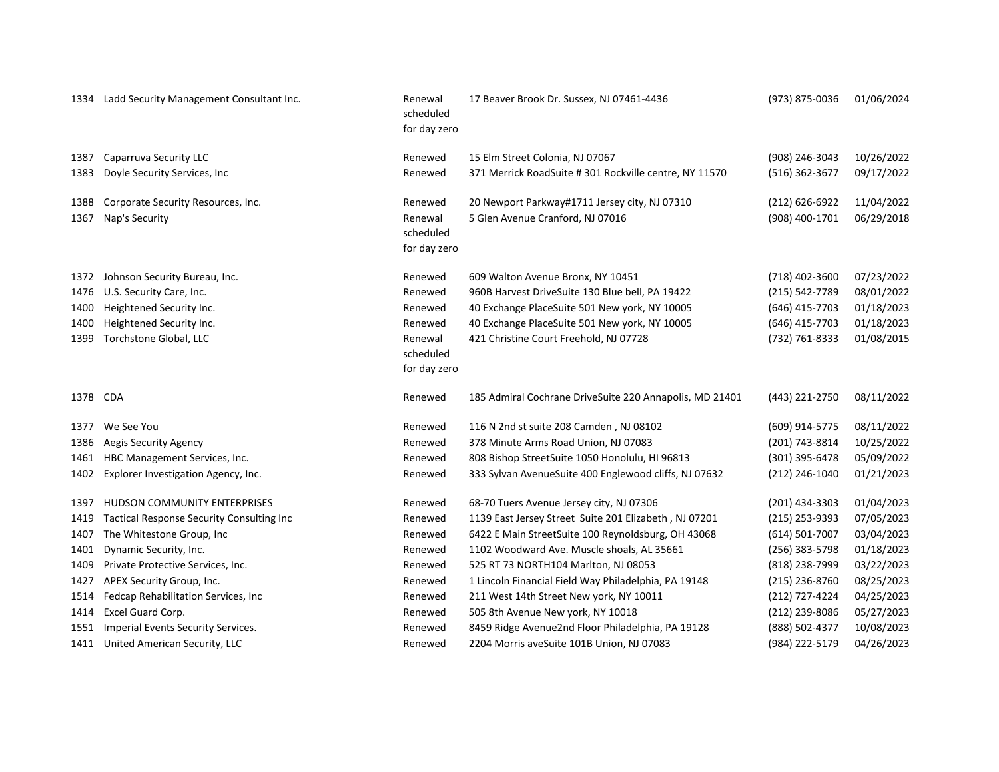| 1334     | Ladd Security Management Consultant Inc.  | Renewal<br>scheduled<br>for day zero | 17 Beaver Brook Dr. Sussex, NJ 07461-4436               | (973) 875-0036   | 01/06/2024 |
|----------|-------------------------------------------|--------------------------------------|---------------------------------------------------------|------------------|------------|
| 1387     | Caparruva Security LLC                    | Renewed                              | 15 Elm Street Colonia, NJ 07067                         | (908) 246-3043   | 10/26/2022 |
| 1383     | Doyle Security Services, Inc              | Renewed                              | 371 Merrick RoadSuite # 301 Rockville centre, NY 11570  | (516) 362-3677   | 09/17/2022 |
| 1388     | Corporate Security Resources, Inc.        | Renewed                              | 20 Newport Parkway#1711 Jersey city, NJ 07310           | (212) 626-6922   | 11/04/2022 |
| 1367     | Nap's Security                            | Renewal<br>scheduled<br>for day zero | 5 Glen Avenue Cranford, NJ 07016                        | (908) 400-1701   | 06/29/2018 |
| 1372     | Johnson Security Bureau, Inc.             | Renewed                              | 609 Walton Avenue Bronx, NY 10451                       | (718) 402-3600   | 07/23/2022 |
| 1476     | U.S. Security Care, Inc.                  | Renewed                              | 960B Harvest DriveSuite 130 Blue bell, PA 19422         | (215) 542-7789   | 08/01/2022 |
| 1400     | Heightened Security Inc.                  | Renewed                              | 40 Exchange PlaceSuite 501 New york, NY 10005           | (646) 415-7703   | 01/18/2023 |
| 1400     | Heightened Security Inc.                  | Renewed                              | 40 Exchange PlaceSuite 501 New york, NY 10005           | (646) 415-7703   | 01/18/2023 |
| 1399     | Torchstone Global, LLC                    | Renewal                              | 421 Christine Court Freehold, NJ 07728                  | (732) 761-8333   | 01/08/2015 |
|          |                                           | scheduled<br>for day zero            |                                                         |                  |            |
| 1378 CDA |                                           | Renewed                              | 185 Admiral Cochrane DriveSuite 220 Annapolis, MD 21401 | (443) 221-2750   | 08/11/2022 |
|          | 1377 We See You                           | Renewed                              | 116 N 2nd st suite 208 Camden, NJ 08102                 | (609) 914-5775   | 08/11/2022 |
| 1386     | <b>Aegis Security Agency</b>              | Renewed                              | 378 Minute Arms Road Union, NJ 07083                    | (201) 743-8814   | 10/25/2022 |
| 1461     | HBC Management Services, Inc.             | Renewed                              | 808 Bishop StreetSuite 1050 Honolulu, HI 96813          | (301) 395-6478   | 05/09/2022 |
| 1402     | Explorer Investigation Agency, Inc.       | Renewed                              | 333 Sylvan AvenueSuite 400 Englewood cliffs, NJ 07632   | (212) 246-1040   | 01/21/2023 |
|          | 1397 HUDSON COMMUNITY ENTERPRISES         | Renewed                              | 68-70 Tuers Avenue Jersey city, NJ 07306                | (201) 434-3303   | 01/04/2023 |
| 1419     | Tactical Response Security Consulting Inc | Renewed                              | 1139 East Jersey Street Suite 201 Elizabeth, NJ 07201   | (215) 253-9393   | 07/05/2023 |
| 1407     | The Whitestone Group, Inc                 | Renewed                              | 6422 E Main StreetSuite 100 Reynoldsburg, OH 43068      | (614) 501-7007   | 03/04/2023 |
| 1401     | Dynamic Security, Inc.                    | Renewed                              | 1102 Woodward Ave. Muscle shoals, AL 35661              | (256) 383-5798   | 01/18/2023 |
| 1409     | Private Protective Services, Inc.         | Renewed                              | 525 RT 73 NORTH104 Marlton, NJ 08053                    | (818) 238-7999   | 03/22/2023 |
| 1427     | APEX Security Group, Inc.                 | Renewed                              | 1 Lincoln Financial Field Way Philadelphia, PA 19148    | $(215)$ 236-8760 | 08/25/2023 |
| 1514     | Fedcap Rehabilitation Services, Inc       | Renewed                              | 211 West 14th Street New york, NY 10011                 | (212) 727-4224   | 04/25/2023 |
| 1414     | Excel Guard Corp.                         | Renewed                              | 505 8th Avenue New york, NY 10018                       | (212) 239-8086   | 05/27/2023 |
| 1551     | Imperial Events Security Services.        | Renewed                              | 8459 Ridge Avenue2nd Floor Philadelphia, PA 19128       | (888) 502-4377   | 10/08/2023 |
|          | 1411 United American Security, LLC        | Renewed                              | 2204 Morris aveSuite 101B Union, NJ 07083               | (984) 222-5179   | 04/26/2023 |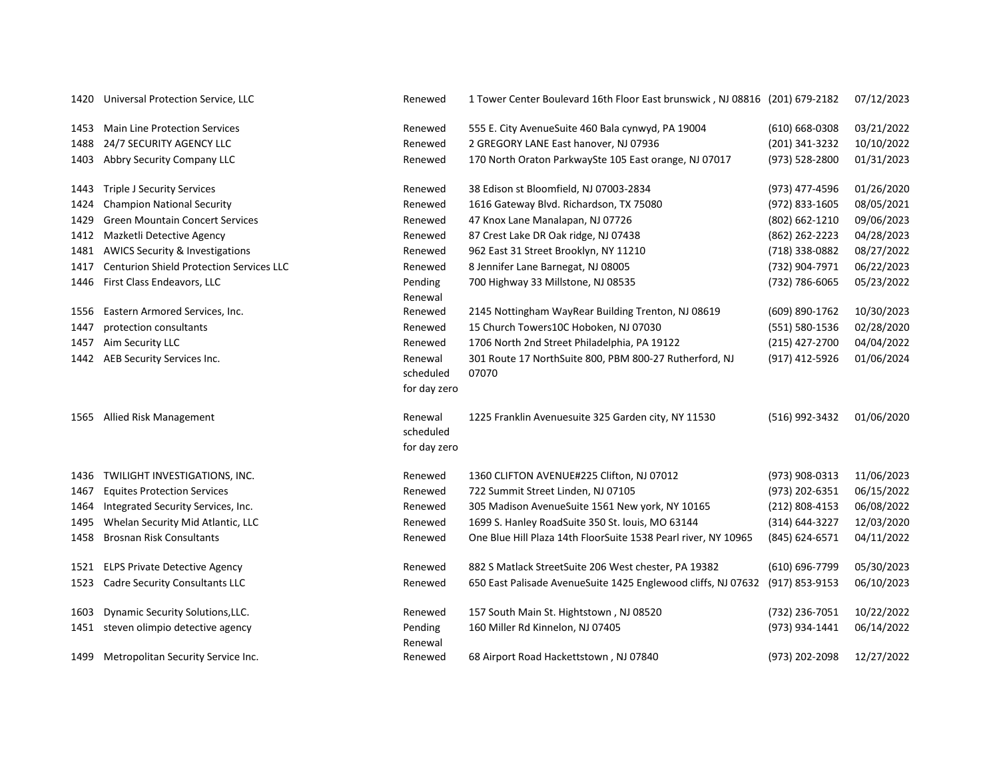| 1420 | Universal Protection Service, LLC               | Renewed                              | 1 Tower Center Boulevard 16th Floor East brunswick, NJ 08816 (201) 679-2182 |                    | 07/12/2023 |
|------|-------------------------------------------------|--------------------------------------|-----------------------------------------------------------------------------|--------------------|------------|
| 1453 | <b>Main Line Protection Services</b>            | Renewed                              | 555 E. City AvenueSuite 460 Bala cynwyd, PA 19004                           | $(610) 668 - 0308$ | 03/21/2022 |
| 1488 | 24/7 SECURITY AGENCY LLC                        | Renewed                              | 2 GREGORY LANE East hanover, NJ 07936                                       | (201) 341-3232     | 10/10/2022 |
| 1403 | Abbry Security Company LLC                      | Renewed                              | 170 North Oraton ParkwaySte 105 East orange, NJ 07017                       | (973) 528-2800     | 01/31/2023 |
| 1443 | <b>Triple J Security Services</b>               | Renewed                              | 38 Edison st Bloomfield, NJ 07003-2834                                      | (973) 477-4596     | 01/26/2020 |
| 1424 | <b>Champion National Security</b>               | Renewed                              | 1616 Gateway Blvd. Richardson, TX 75080                                     | (972) 833-1605     | 08/05/2021 |
| 1429 | <b>Green Mountain Concert Services</b>          | Renewed                              | 47 Knox Lane Manalapan, NJ 07726                                            | (802) 662-1210     | 09/06/2023 |
| 1412 | Mazketli Detective Agency                       | Renewed                              | 87 Crest Lake DR Oak ridge, NJ 07438                                        | (862) 262-2223     | 04/28/2023 |
| 1481 | <b>AWICS Security &amp; Investigations</b>      | Renewed                              | 962 East 31 Street Brooklyn, NY 11210                                       | (718) 338-0882     | 08/27/2022 |
| 1417 | <b>Centurion Shield Protection Services LLC</b> | Renewed                              | 8 Jennifer Lane Barnegat, NJ 08005                                          | (732) 904-7971     | 06/22/2023 |
|      | 1446 First Class Endeavors, LLC                 | Pending<br>Renewal                   | 700 Highway 33 Millstone, NJ 08535                                          | (732) 786-6065     | 05/23/2022 |
| 1556 | Eastern Armored Services, Inc.                  | Renewed                              | 2145 Nottingham WayRear Building Trenton, NJ 08619                          | (609) 890-1762     | 10/30/2023 |
| 1447 | protection consultants                          | Renewed                              | 15 Church Towers10C Hoboken, NJ 07030                                       | (551) 580-1536     | 02/28/2020 |
| 1457 | Aim Security LLC                                | Renewed                              | 1706 North 2nd Street Philadelphia, PA 19122                                | (215) 427-2700     | 04/04/2022 |
|      | 1442 AEB Security Services Inc.                 | Renewal<br>scheduled<br>for day zero | 301 Route 17 NorthSuite 800, PBM 800-27 Rutherford, NJ<br>07070             | (917) 412-5926     | 01/06/2024 |
| 1565 | Allied Risk Management                          | Renewal<br>scheduled<br>for day zero | 1225 Franklin Avenuesuite 325 Garden city, NY 11530                         | (516) 992-3432     | 01/06/2020 |
|      | 1436 TWILIGHT INVESTIGATIONS, INC.              | Renewed                              | 1360 CLIFTON AVENUE#225 Clifton, NJ 07012                                   | (973) 908-0313     | 11/06/2023 |
| 1467 | <b>Equites Protection Services</b>              | Renewed                              | 722 Summit Street Linden, NJ 07105                                          | (973) 202-6351     | 06/15/2022 |
| 1464 | Integrated Security Services, Inc.              | Renewed                              | 305 Madison AvenueSuite 1561 New york, NY 10165                             | (212) 808-4153     | 06/08/2022 |
| 1495 | Whelan Security Mid Atlantic, LLC               | Renewed                              | 1699 S. Hanley RoadSuite 350 St. louis, MO 63144                            | (314) 644-3227     | 12/03/2020 |
| 1458 | <b>Brosnan Risk Consultants</b>                 | Renewed                              | One Blue Hill Plaza 14th FloorSuite 1538 Pearl river, NY 10965              | (845) 624-6571     | 04/11/2022 |
|      | 1521 ELPS Private Detective Agency              | Renewed                              | 882 S Matlack StreetSuite 206 West chester, PA 19382                        | (610) 696-7799     | 05/30/2023 |
| 1523 | <b>Cadre Security Consultants LLC</b>           | Renewed                              | 650 East Palisade AvenueSuite 1425 Englewood cliffs, NJ 07632               | (917) 853-9153     | 06/10/2023 |
| 1603 | Dynamic Security Solutions, LLC.                | Renewed                              | 157 South Main St. Hightstown, NJ 08520                                     | (732) 236-7051     | 10/22/2022 |
| 1451 | steven olimpio detective agency                 | Pending<br>Renewal                   | 160 Miller Rd Kinnelon, NJ 07405                                            | (973) 934-1441     | 06/14/2022 |
|      | 1499 Metropolitan Security Service Inc.         | Renewed                              | 68 Airport Road Hackettstown, NJ 07840                                      | (973) 202-2098     | 12/27/2022 |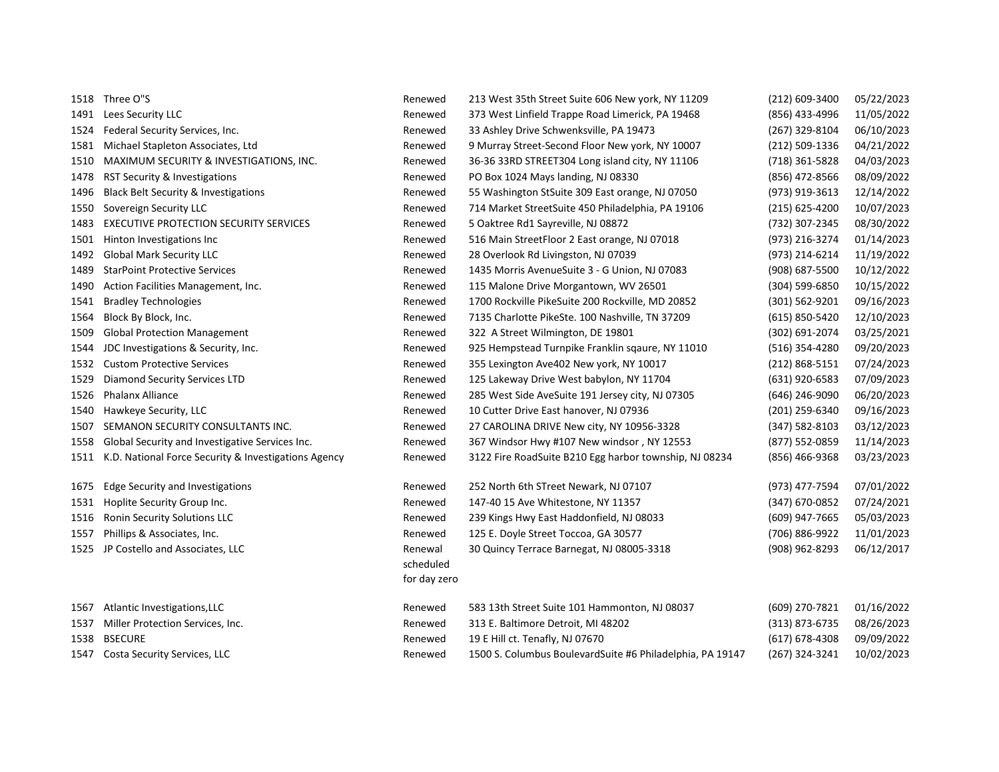|      | 1518 Three O"S                                            | Renewed      | 213 West 35th Street Suite 606 New york, NY 11209         | (212) 609-3400     | 05/22/2023 |
|------|-----------------------------------------------------------|--------------|-----------------------------------------------------------|--------------------|------------|
|      | 1491 Lees Security LLC                                    | Renewed      | 373 West Linfield Trappe Road Limerick, PA 19468          | (856) 433-4996     | 11/05/2022 |
| 1524 | Federal Security Services, Inc.                           | Renewed      | 33 Ashley Drive Schwenksville, PA 19473                   | (267) 329-8104     | 06/10/2023 |
| 1581 | Michael Stapleton Associates, Ltd                         | Renewed      | 9 Murray Street-Second Floor New york, NY 10007           | (212) 509-1336     | 04/21/2022 |
| 1510 | MAXIMUM SECURITY & INVESTIGATIONS, INC.                   | Renewed      | 36-36 33RD STREET304 Long island city, NY 11106           | (718) 361-5828     | 04/03/2023 |
| 1478 | RST Security & Investigations                             | Renewed      | PO Box 1024 Mays landing, NJ 08330                        | (856) 472-8566     | 08/09/2022 |
| 1496 | <b>Black Belt Security &amp; Investigations</b>           | Renewed      | 55 Washington StSuite 309 East orange, NJ 07050           | (973) 919-3613     | 12/14/2022 |
| 1550 | Sovereign Security LLC                                    | Renewed      | 714 Market StreetSuite 450 Philadelphia, PA 19106         | $(215)$ 625-4200   | 10/07/2023 |
| 1483 | EXECUTIVE PROTECTION SECURITY SERVICES                    | Renewed      | 5 Oaktree Rd1 Sayreville, NJ 08872                        | (732) 307-2345     | 08/30/2022 |
| 1501 | Hinton Investigations Inc                                 | Renewed      | 516 Main StreetFloor 2 East orange, NJ 07018              | (973) 216-3274     | 01/14/2023 |
| 1492 | <b>Global Mark Security LLC</b>                           | Renewed      | 28 Overlook Rd Livingston, NJ 07039                       | (973) 214-6214     | 11/19/2022 |
| 1489 | <b>StarPoint Protective Services</b>                      | Renewed      | 1435 Morris AvenueSuite 3 - G Union, NJ 07083             | (908) 687-5500     | 10/12/2022 |
| 1490 | Action Facilities Management, Inc.                        | Renewed      | 115 Malone Drive Morgantown, WV 26501                     | (304) 599-6850     | 10/15/2022 |
| 1541 | <b>Bradley Technologies</b>                               | Renewed      | 1700 Rockville PikeSuite 200 Rockville, MD 20852          | (301) 562-9201     | 09/16/2023 |
| 1564 | Block By Block, Inc.                                      | Renewed      | 7135 Charlotte PikeSte. 100 Nashville, TN 37209           | (615) 850-5420     | 12/10/2023 |
| 1509 | <b>Global Protection Management</b>                       | Renewed      | 322 A Street Wilmington, DE 19801                         | (302) 691-2074     | 03/25/2021 |
| 1544 | JDC Investigations & Security, Inc.                       | Renewed      | 925 Hempstead Turnpike Franklin sqaure, NY 11010          | (516) 354-4280     | 09/20/2023 |
| 1532 | <b>Custom Protective Services</b>                         | Renewed      | 355 Lexington Ave402 New york, NY 10017                   | $(212) 868 - 5151$ | 07/24/2023 |
| 1529 | Diamond Security Services LTD                             | Renewed      | 125 Lakeway Drive West babylon, NY 11704                  | (631) 920-6583     | 07/09/2023 |
| 1526 | Phalanx Alliance                                          | Renewed      | 285 West Side AveSuite 191 Jersey city, NJ 07305          | (646) 246-9090     | 06/20/2023 |
| 1540 | Hawkeye Security, LLC                                     | Renewed      | 10 Cutter Drive East hanover, NJ 07936                    | (201) 259-6340     | 09/16/2023 |
| 1507 | SEMANON SECURITY CONSULTANTS INC.                         | Renewed      | 27 CAROLINA DRIVE New city, NY 10956-3328                 | (347) 582-8103     | 03/12/2023 |
| 1558 | Global Security and Investigative Services Inc.           | Renewed      | 367 Windsor Hwy #107 New windsor, NY 12553                | (877) 552-0859     | 11/14/2023 |
|      | 1511 K.D. National Force Security & Investigations Agency | Renewed      | 3122 Fire RoadSuite B210 Egg harbor township, NJ 08234    | (856) 466-9368     | 03/23/2023 |
| 1675 | <b>Edge Security and Investigations</b>                   | Renewed      | 252 North 6th STreet Newark, NJ 07107                     | (973) 477-7594     | 07/01/2022 |
| 1531 | Hoplite Security Group Inc.                               | Renewed      | 147-40 15 Ave Whitestone, NY 11357                        | (347) 670-0852     | 07/24/2021 |
| 1516 | <b>Ronin Security Solutions LLC</b>                       | Renewed      | 239 Kings Hwy East Haddonfield, NJ 08033                  | (609) 947-7665     | 05/03/2023 |
| 1557 | Phillips & Associates, Inc.                               | Renewed      | 125 E. Doyle Street Toccoa, GA 30577                      | (706) 886-9922     | 11/01/2023 |
| 1525 | JP Costello and Associates, LLC                           | Renewal      | 30 Quincy Terrace Barnegat, NJ 08005-3318                 | (908) 962-8293     | 06/12/2017 |
|      |                                                           | scheduled    |                                                           |                    |            |
|      |                                                           | for day zero |                                                           |                    |            |
| 1567 | Atlantic Investigations, LLC                              | Renewed      | 583 13th Street Suite 101 Hammonton, NJ 08037             | (609) 270-7821     | 01/16/2022 |
| 1537 | Miller Protection Services, Inc.                          | Renewed      | 313 E. Baltimore Detroit, MI 48202                        | (313) 873-6735     | 08/26/2023 |
| 1538 | <b>BSECURE</b>                                            | Renewed      | 19 E Hill ct. Tenafly, NJ 07670                           | $(617)$ 678-4308   | 09/09/2022 |
|      | 1547 Costa Security Services, LLC                         | Renewed      | 1500 S. Columbus BoulevardSuite #6 Philadelphia, PA 19147 | (267) 324-3241     | 10/02/2023 |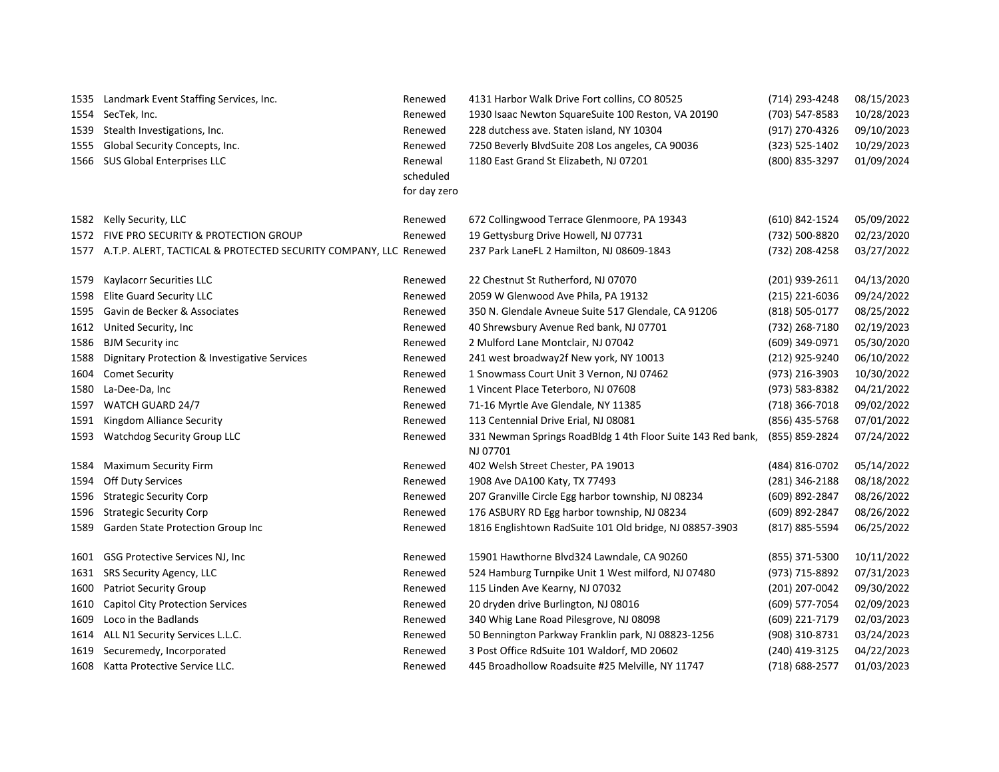|      | 1535 Landmark Event Staffing Services, Inc.                           | Renewed      | 4131 Harbor Walk Drive Fort collins, CO 80525                           | (714) 293-4248   | 08/15/2023 |
|------|-----------------------------------------------------------------------|--------------|-------------------------------------------------------------------------|------------------|------------|
|      | 1554 SecTek, Inc.                                                     | Renewed      | 1930 Isaac Newton SquareSuite 100 Reston, VA 20190                      | (703) 547-8583   | 10/28/2023 |
| 1539 | Stealth Investigations, Inc.                                          | Renewed      | 228 dutchess ave. Staten island, NY 10304                               | (917) 270-4326   | 09/10/2023 |
| 1555 | Global Security Concepts, Inc.                                        | Renewed      | 7250 Beverly BlvdSuite 208 Los angeles, CA 90036                        | (323) 525-1402   | 10/29/2023 |
|      | 1566 SUS Global Enterprises LLC                                       | Renewal      | 1180 East Grand St Elizabeth, NJ 07201                                  | (800) 835-3297   | 01/09/2024 |
|      |                                                                       | scheduled    |                                                                         |                  |            |
|      |                                                                       | for day zero |                                                                         |                  |            |
| 1582 | Kelly Security, LLC                                                   | Renewed      | 672 Collingwood Terrace Glenmoore, PA 19343                             | (610) 842-1524   | 05/09/2022 |
|      | 1572 FIVE PRO SECURITY & PROTECTION GROUP                             | Renewed      | 19 Gettysburg Drive Howell, NJ 07731                                    | (732) 500-8820   | 02/23/2020 |
|      | 1577 A.T.P. ALERT, TACTICAL & PROTECTED SECURITY COMPANY, LLC Renewed |              | 237 Park LaneFL 2 Hamilton, NJ 08609-1843                               | (732) 208-4258   | 03/27/2022 |
| 1579 | Kaylacorr Securities LLC                                              | Renewed      | 22 Chestnut St Rutherford, NJ 07070                                     | (201) 939-2611   | 04/13/2020 |
| 1598 | <b>Elite Guard Security LLC</b>                                       | Renewed      | 2059 W Glenwood Ave Phila, PA 19132                                     | $(215)$ 221-6036 | 09/24/2022 |
| 1595 | Gavin de Becker & Associates                                          | Renewed      | 350 N. Glendale Avneue Suite 517 Glendale, CA 91206                     | (818) 505-0177   | 08/25/2022 |
| 1612 | United Security, Inc                                                  | Renewed      | 40 Shrewsbury Avenue Red bank, NJ 07701                                 | (732) 268-7180   | 02/19/2023 |
| 1586 | <b>BJM Security inc</b>                                               | Renewed      | 2 Mulford Lane Montclair, NJ 07042                                      | (609) 349-0971   | 05/30/2020 |
| 1588 | Dignitary Protection & Investigative Services                         | Renewed      | 241 west broadway2f New york, NY 10013                                  | (212) 925-9240   | 06/10/2022 |
| 1604 | <b>Comet Security</b>                                                 | Renewed      | 1 Snowmass Court Unit 3 Vernon, NJ 07462                                | (973) 216-3903   | 10/30/2022 |
| 1580 | La-Dee-Da, Inc                                                        | Renewed      | 1 Vincent Place Teterboro, NJ 07608                                     | (973) 583-8382   | 04/21/2022 |
| 1597 | WATCH GUARD 24/7                                                      | Renewed      | 71-16 Myrtle Ave Glendale, NY 11385                                     | (718) 366-7018   | 09/02/2022 |
| 1591 | Kingdom Alliance Security                                             | Renewed      | 113 Centennial Drive Erial, NJ 08081                                    | (856) 435-5768   | 07/01/2022 |
| 1593 | <b>Watchdog Security Group LLC</b>                                    | Renewed      | 331 Newman Springs RoadBldg 1 4th Floor Suite 143 Red bank,<br>NJ 07701 | (855) 859-2824   | 07/24/2022 |
| 1584 | <b>Maximum Security Firm</b>                                          | Renewed      | 402 Welsh Street Chester, PA 19013                                      | (484) 816-0702   | 05/14/2022 |
| 1594 | Off Duty Services                                                     | Renewed      | 1908 Ave DA100 Katy, TX 77493                                           | (281) 346-2188   | 08/18/2022 |
| 1596 | <b>Strategic Security Corp</b>                                        | Renewed      | 207 Granville Circle Egg harbor township, NJ 08234                      | (609) 892-2847   | 08/26/2022 |
| 1596 | <b>Strategic Security Corp</b>                                        | Renewed      | 176 ASBURY RD Egg harbor township, NJ 08234                             | (609) 892-2847   | 08/26/2022 |
| 1589 | <b>Garden State Protection Group Inc</b>                              | Renewed      | 1816 Englishtown RadSuite 101 Old bridge, NJ 08857-3903                 | (817) 885-5594   | 06/25/2022 |
| 1601 | GSG Protective Services NJ, Inc.                                      | Renewed      | 15901 Hawthorne Blvd324 Lawndale, CA 90260                              | (855) 371-5300   | 10/11/2022 |
| 1631 | SRS Security Agency, LLC                                              | Renewed      | 524 Hamburg Turnpike Unit 1 West milford, NJ 07480                      | (973) 715-8892   | 07/31/2023 |
| 1600 | <b>Patriot Security Group</b>                                         | Renewed      | 115 Linden Ave Kearny, NJ 07032                                         | (201) 207-0042   | 09/30/2022 |
| 1610 | <b>Capitol City Protection Services</b>                               | Renewed      | 20 dryden drive Burlington, NJ 08016                                    | (609) 577-7054   | 02/09/2023 |
| 1609 | Loco in the Badlands                                                  | Renewed      | 340 Whig Lane Road Pilesgrove, NJ 08098                                 | (609) 221-7179   | 02/03/2023 |
|      | 1614 ALL N1 Security Services L.L.C.                                  | Renewed      | 50 Bennington Parkway Franklin park, NJ 08823-1256                      | (908) 310-8731   | 03/24/2023 |
| 1619 | Securemedy, Incorporated                                              | Renewed      | 3 Post Office RdSuite 101 Waldorf, MD 20602                             | (240) 419-3125   | 04/22/2023 |
| 1608 | Katta Protective Service LLC.                                         | Renewed      | 445 Broadhollow Roadsuite #25 Melville, NY 11747                        | (718) 688-2577   | 01/03/2023 |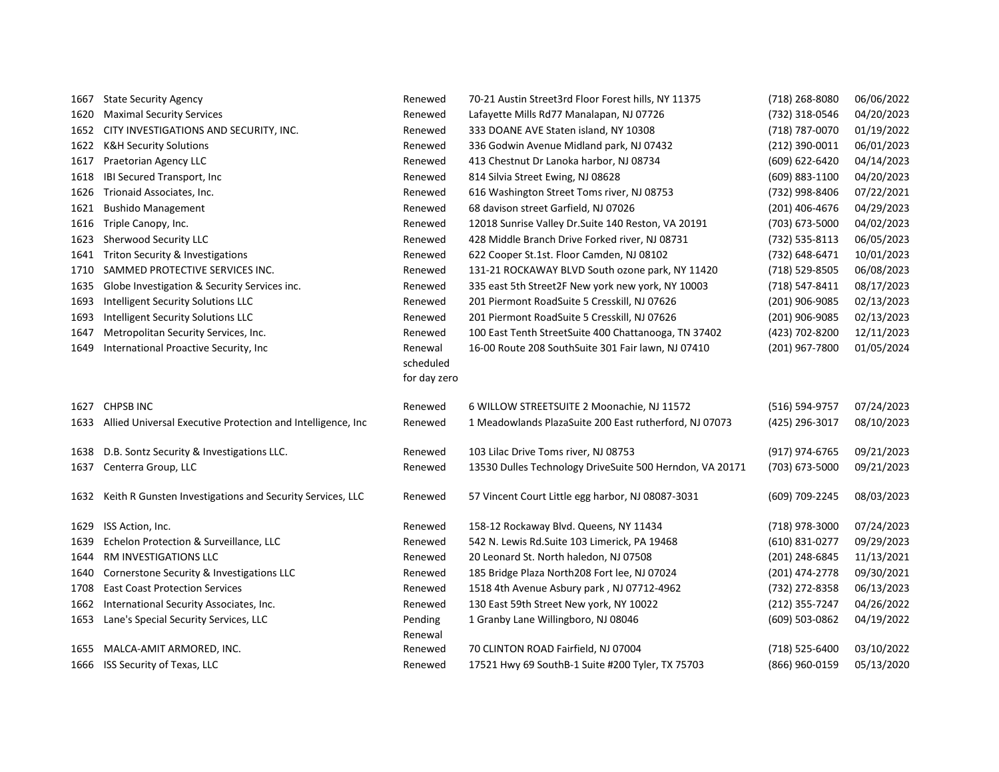| 1667 | <b>State Security Agency</b>                                     | Renewed      | 70-21 Austin Street3rd Floor Forest hills, NY 11375      | (718) 268-8080   | 06/06/2022 |
|------|------------------------------------------------------------------|--------------|----------------------------------------------------------|------------------|------------|
| 1620 | <b>Maximal Security Services</b>                                 | Renewed      | Lafayette Mills Rd77 Manalapan, NJ 07726                 | (732) 318-0546   | 04/20/2023 |
| 1652 | CITY INVESTIGATIONS AND SECURITY, INC.                           | Renewed      | 333 DOANE AVE Staten island, NY 10308                    | (718) 787-0070   | 01/19/2022 |
| 1622 | <b>K&amp;H Security Solutions</b>                                | Renewed      | 336 Godwin Avenue Midland park, NJ 07432                 | $(212)$ 390-0011 | 06/01/2023 |
| 1617 | Praetorian Agency LLC                                            | Renewed      | 413 Chestnut Dr Lanoka harbor, NJ 08734                  | (609) 622-6420   | 04/14/2023 |
| 1618 | IBI Secured Transport, Inc                                       | Renewed      | 814 Silvia Street Ewing, NJ 08628                        | (609) 883-1100   | 04/20/2023 |
| 1626 | Trionaid Associates, Inc.                                        | Renewed      | 616 Washington Street Toms river, NJ 08753               | (732) 998-8406   | 07/22/2021 |
| 1621 | <b>Bushido Management</b>                                        | Renewed      | 68 davison street Garfield, NJ 07026                     | (201) 406-4676   | 04/29/2023 |
|      | 1616 Triple Canopy, Inc.                                         | Renewed      | 12018 Sunrise Valley Dr. Suite 140 Reston, VA 20191      | (703) 673-5000   | 04/02/2023 |
| 1623 | Sherwood Security LLC                                            | Renewed      | 428 Middle Branch Drive Forked river, NJ 08731           | (732) 535-8113   | 06/05/2023 |
| 1641 | Triton Security & Investigations                                 | Renewed      | 622 Cooper St.1st. Floor Camden, NJ 08102                | (732) 648-6471   | 10/01/2023 |
| 1710 | SAMMED PROTECTIVE SERVICES INC.                                  | Renewed      | 131-21 ROCKAWAY BLVD South ozone park, NY 11420          | (718) 529-8505   | 06/08/2023 |
| 1635 | Globe Investigation & Security Services inc.                     | Renewed      | 335 east 5th Street2F New york new york, NY 10003        | (718) 547-8411   | 08/17/2023 |
| 1693 | Intelligent Security Solutions LLC                               | Renewed      | 201 Piermont RoadSuite 5 Cresskill, NJ 07626             | (201) 906-9085   | 02/13/2023 |
| 1693 | Intelligent Security Solutions LLC                               | Renewed      | 201 Piermont RoadSuite 5 Cresskill, NJ 07626             | (201) 906-9085   | 02/13/2023 |
| 1647 | Metropolitan Security Services, Inc.                             | Renewed      | 100 East Tenth StreetSuite 400 Chattanooga, TN 37402     | (423) 702-8200   | 12/11/2023 |
| 1649 | International Proactive Security, Inc.                           | Renewal      | 16-00 Route 208 SouthSuite 301 Fair lawn, NJ 07410       | (201) 967-7800   | 01/05/2024 |
|      |                                                                  | scheduled    |                                                          |                  |            |
|      |                                                                  | for day zero |                                                          |                  |            |
| 1627 | <b>CHPSB INC</b>                                                 | Renewed      | 6 WILLOW STREETSUITE 2 Moonachie, NJ 11572               | (516) 594-9757   | 07/24/2023 |
|      | 1633 Allied Universal Executive Protection and Intelligence, Inc | Renewed      | 1 Meadowlands PlazaSuite 200 East rutherford, NJ 07073   | (425) 296-3017   | 08/10/2023 |
|      |                                                                  |              |                                                          |                  |            |
|      | 1638 D.B. Sontz Security & Investigations LLC.                   | Renewed      | 103 Lilac Drive Toms river, NJ 08753                     | (917) 974-6765   | 09/21/2023 |
| 1637 | Centerra Group, LLC                                              | Renewed      | 13530 Dulles Technology DriveSuite 500 Herndon, VA 20171 | (703) 673-5000   | 09/21/2023 |
|      |                                                                  |              |                                                          |                  |            |
| 1632 | Keith R Gunsten Investigations and Security Services, LLC        | Renewed      | 57 Vincent Court Little egg harbor, NJ 08087-3031        | (609) 709-2245   | 08/03/2023 |
| 1629 | ISS Action, Inc.                                                 | Renewed      | 158-12 Rockaway Blvd. Queens, NY 11434                   | (718) 978-3000   | 07/24/2023 |
| 1639 | Echelon Protection & Surveillance, LLC                           | Renewed      | 542 N. Lewis Rd.Suite 103 Limerick, PA 19468             | (610) 831-0277   | 09/29/2023 |
| 1644 | RM INVESTIGATIONS LLC                                            | Renewed      | 20 Leonard St. North haledon, NJ 07508                   | (201) 248-6845   | 11/13/2021 |
| 1640 | Cornerstone Security & Investigations LLC                        | Renewed      | 185 Bridge Plaza North208 Fort lee, NJ 07024             | (201) 474-2778   | 09/30/2021 |
| 1708 | <b>East Coast Protection Services</b>                            | Renewed      | 1518 4th Avenue Asbury park, NJ 07712-4962               | (732) 272-8358   | 06/13/2023 |
| 1662 | International Security Associates, Inc.                          | Renewed      | 130 East 59th Street New york, NY 10022                  | (212) 355-7247   | 04/26/2022 |
| 1653 | Lane's Special Security Services, LLC                            | Pending      | 1 Granby Lane Willingboro, NJ 08046                      | (609) 503-0862   | 04/19/2022 |
|      |                                                                  | Renewal      |                                                          |                  |            |
| 1655 | MALCA-AMIT ARMORED, INC.                                         | Renewed      | 70 CLINTON ROAD Fairfield, NJ 07004                      | (718) 525-6400   | 03/10/2022 |
|      | 1666 ISS Security of Texas, LLC                                  | Renewed      | 17521 Hwy 69 SouthB-1 Suite #200 Tyler, TX 75703         | (866) 960-0159   | 05/13/2020 |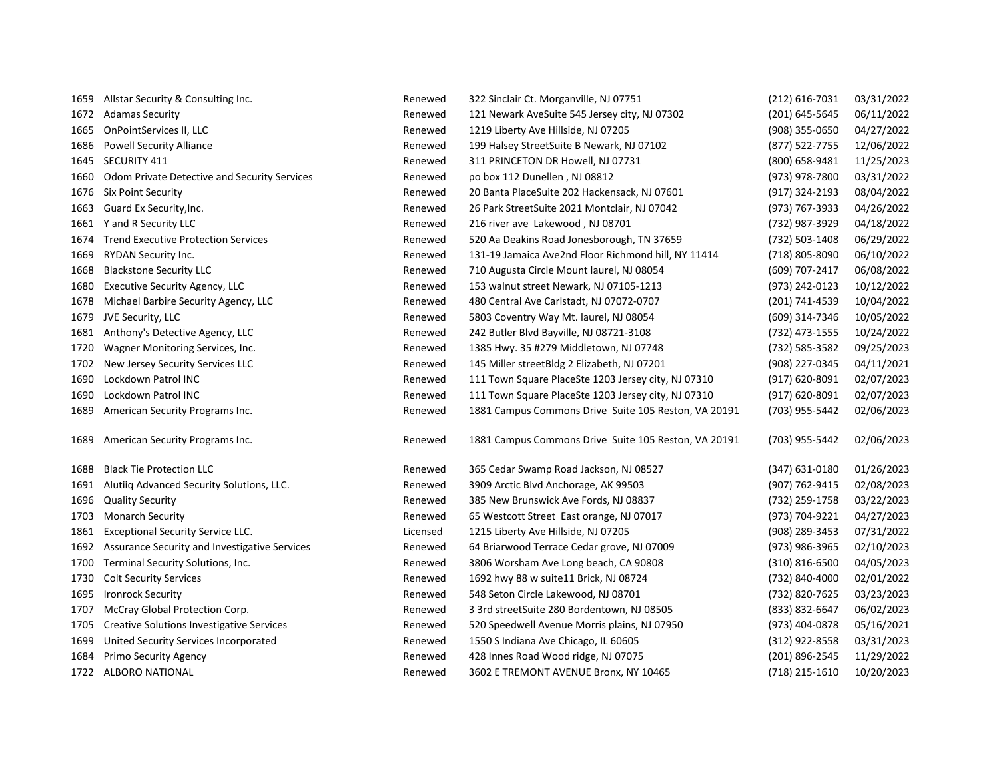| 1659 | Allstar Security & Consulting Inc.               | Renewed  | 322 Sinclair Ct. Morganville, NJ 07751               | $(212)$ 616-7031 | 03/31/2022 |
|------|--------------------------------------------------|----------|------------------------------------------------------|------------------|------------|
| 1672 | <b>Adamas Security</b>                           | Renewed  | 121 Newark AveSuite 545 Jersey city, NJ 07302        | (201) 645-5645   | 06/11/2022 |
| 1665 | OnPointServices II, LLC                          | Renewed  | 1219 Liberty Ave Hillside, NJ 07205                  | (908) 355-0650   | 04/27/2022 |
| 1686 | <b>Powell Security Alliance</b>                  | Renewed  | 199 Halsey StreetSuite B Newark, NJ 07102            | (877) 522-7755   | 12/06/2022 |
| 1645 | SECURITY 411                                     | Renewed  | 311 PRINCETON DR Howell, NJ 07731                    | (800) 658-9481   | 11/25/2023 |
| 1660 | Odom Private Detective and Security Services     | Renewed  | po box 112 Dunellen, NJ 08812                        | (973) 978-7800   | 03/31/2022 |
| 1676 | <b>Six Point Security</b>                        | Renewed  | 20 Banta PlaceSuite 202 Hackensack, NJ 07601         | (917) 324-2193   | 08/04/2022 |
| 1663 | Guard Ex Security, Inc.                          | Renewed  | 26 Park StreetSuite 2021 Montclair, NJ 07042         | (973) 767-3933   | 04/26/2022 |
| 1661 | Y and R Security LLC                             | Renewed  | 216 river ave Lakewood, NJ 08701                     | (732) 987-3929   | 04/18/2022 |
| 1674 | <b>Trend Executive Protection Services</b>       | Renewed  | 520 Aa Deakins Road Jonesborough, TN 37659           | (732) 503-1408   | 06/29/2022 |
| 1669 | <b>RYDAN Security Inc.</b>                       | Renewed  | 131-19 Jamaica Ave2nd Floor Richmond hill, NY 11414  | (718) 805-8090   | 06/10/2022 |
| 1668 | <b>Blackstone Security LLC</b>                   | Renewed  | 710 Augusta Circle Mount laurel, NJ 08054            | (609) 707-2417   | 06/08/2022 |
| 1680 | <b>Executive Security Agency, LLC</b>            | Renewed  | 153 walnut street Newark, NJ 07105-1213              | (973) 242-0123   | 10/12/2022 |
| 1678 | Michael Barbire Security Agency, LLC             | Renewed  | 480 Central Ave Carlstadt, NJ 07072-0707             | (201) 741-4539   | 10/04/2022 |
| 1679 | JVE Security, LLC                                | Renewed  | 5803 Coventry Way Mt. laurel, NJ 08054               | (609) 314-7346   | 10/05/2022 |
| 1681 | Anthony's Detective Agency, LLC                  | Renewed  | 242 Butler Blvd Bayville, NJ 08721-3108              | (732) 473-1555   | 10/24/2022 |
| 1720 | Wagner Monitoring Services, Inc.                 | Renewed  | 1385 Hwy. 35 #279 Middletown, NJ 07748               | (732) 585-3582   | 09/25/2023 |
| 1702 | New Jersey Security Services LLC                 | Renewed  | 145 Miller streetBldg 2 Elizabeth, NJ 07201          | (908) 227-0345   | 04/11/2021 |
| 1690 | Lockdown Patrol INC                              | Renewed  | 111 Town Square PlaceSte 1203 Jersey city, NJ 07310  | (917) 620-8091   | 02/07/2023 |
| 1690 | Lockdown Patrol INC                              | Renewed  | 111 Town Square PlaceSte 1203 Jersey city, NJ 07310  | (917) 620-8091   | 02/07/2023 |
| 1689 | American Security Programs Inc.                  | Renewed  | 1881 Campus Commons Drive Suite 105 Reston, VA 20191 | (703) 955-5442   | 02/06/2023 |
| 1689 | American Security Programs Inc.                  | Renewed  | 1881 Campus Commons Drive Suite 105 Reston, VA 20191 | (703) 955-5442   | 02/06/2023 |
| 1688 | <b>Black Tie Protection LLC</b>                  | Renewed  | 365 Cedar Swamp Road Jackson, NJ 08527               | (347) 631-0180   | 01/26/2023 |
| 1691 | Alutiiq Advanced Security Solutions, LLC.        | Renewed  | 3909 Arctic Blvd Anchorage, AK 99503                 | (907) 762-9415   | 02/08/2023 |
| 1696 | <b>Quality Security</b>                          | Renewed  | 385 New Brunswick Ave Fords, NJ 08837                | (732) 259-1758   | 03/22/2023 |
| 1703 | Monarch Security                                 | Renewed  | 65 Westcott Street East orange, NJ 07017             | (973) 704-9221   | 04/27/2023 |
| 1861 | <b>Exceptional Security Service LLC.</b>         | Licensed | 1215 Liberty Ave Hillside, NJ 07205                  | (908) 289-3453   | 07/31/2022 |
| 1692 | Assurance Security and Investigative Services    | Renewed  | 64 Briarwood Terrace Cedar grove, NJ 07009           | (973) 986-3965   | 02/10/2023 |
| 1700 | Terminal Security Solutions, Inc.                | Renewed  | 3806 Worsham Ave Long beach, CA 90808                | $(310)$ 816-6500 | 04/05/2023 |
| 1730 | <b>Colt Security Services</b>                    | Renewed  | 1692 hwy 88 w suite11 Brick, NJ 08724                | (732) 840-4000   | 02/01/2022 |
| 1695 | <b>Ironrock Security</b>                         | Renewed  | 548 Seton Circle Lakewood, NJ 08701                  | (732) 820-7625   | 03/23/2023 |
| 1707 | McCray Global Protection Corp.                   | Renewed  | 3 3rd streetSuite 280 Bordentown, NJ 08505           | (833) 832-6647   | 06/02/2023 |
| 1705 | <b>Creative Solutions Investigative Services</b> | Renewed  | 520 Speedwell Avenue Morris plains, NJ 07950         | (973) 404-0878   | 05/16/2021 |
| 1699 | United Security Services Incorporated            | Renewed  | 1550 S Indiana Ave Chicago, IL 60605                 | (312) 922-8558   | 03/31/2023 |
| 1684 | Primo Security Agency                            | Renewed  | 428 Innes Road Wood ridge, NJ 07075                  | (201) 896-2545   | 11/29/2022 |
|      | 1722 ALBORO NATIONAL                             | Renewed  | 3602 E TREMONT AVENUE Bronx, NY 10465                | (718) 215-1610   | 10/20/2023 |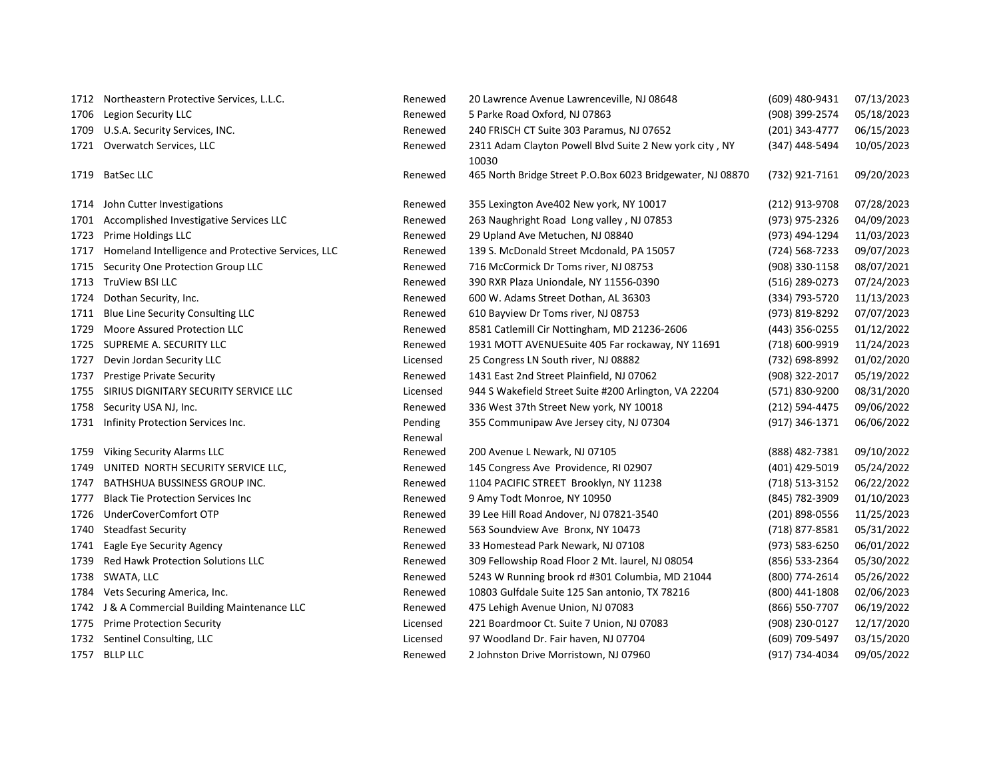|      | 1712 Northeastern Protective Services, L.L.C.      | Renewed  | 20 Lawrence Avenue Lawrenceville, NJ 08648                       | (609) 480-9431 | 07/13/2023 |
|------|----------------------------------------------------|----------|------------------------------------------------------------------|----------------|------------|
|      | 1706 Legion Security LLC                           | Renewed  | 5 Parke Road Oxford, NJ 07863                                    | (908) 399-2574 | 05/18/2023 |
| 1709 | U.S.A. Security Services, INC.                     | Renewed  | 240 FRISCH CT Suite 303 Paramus, NJ 07652                        | (201) 343-4777 | 06/15/2023 |
|      | 1721 Overwatch Services, LLC                       | Renewed  | 2311 Adam Clayton Powell Blvd Suite 2 New york city, NY<br>10030 | (347) 448-5494 | 10/05/2023 |
| 1719 | <b>BatSec LLC</b>                                  | Renewed  | 465 North Bridge Street P.O.Box 6023 Bridgewater, NJ 08870       | (732) 921-7161 | 09/20/2023 |
|      | 1714 John Cutter Investigations                    | Renewed  | 355 Lexington Ave402 New york, NY 10017                          | (212) 913-9708 | 07/28/2023 |
| 1701 | Accomplished Investigative Services LLC            | Renewed  | 263 Naughright Road Long valley, NJ 07853                        | (973) 975-2326 | 04/09/2023 |
| 1723 | Prime Holdings LLC                                 | Renewed  | 29 Upland Ave Metuchen, NJ 08840                                 | (973) 494-1294 | 11/03/2023 |
| 1717 | Homeland Intelligence and Protective Services, LLC | Renewed  | 139 S. McDonald Street Mcdonald, PA 15057                        | (724) 568-7233 | 09/07/2023 |
| 1715 | Security One Protection Group LLC                  | Renewed  | 716 McCormick Dr Toms river, NJ 08753                            | (908) 330-1158 | 08/07/2021 |
| 1713 | TruView BSI LLC                                    | Renewed  | 390 RXR Plaza Uniondale, NY 11556-0390                           | (516) 289-0273 | 07/24/2023 |
| 1724 | Dothan Security, Inc.                              | Renewed  | 600 W. Adams Street Dothan, AL 36303                             | (334) 793-5720 | 11/13/2023 |
| 1711 | Blue Line Security Consulting LLC                  | Renewed  | 610 Bayview Dr Toms river, NJ 08753                              | (973) 819-8292 | 07/07/2023 |
| 1729 | Moore Assured Protection LLC                       | Renewed  | 8581 Catlemill Cir Nottingham, MD 21236-2606                     | (443) 356-0255 | 01/12/2022 |
|      | 1725 SUPREME A. SECURITY LLC                       | Renewed  | 1931 MOTT AVENUESuite 405 Far rockaway, NY 11691                 | (718) 600-9919 | 11/24/2023 |
| 1727 | Devin Jordan Security LLC                          | Licensed | 25 Congress LN South river, NJ 08882                             | (732) 698-8992 | 01/02/2020 |
| 1737 | <b>Prestige Private Security</b>                   | Renewed  | 1431 East 2nd Street Plainfield, NJ 07062                        | (908) 322-2017 | 05/19/2022 |
| 1755 | SIRIUS DIGNITARY SECURITY SERVICE LLC              | Licensed | 944 S Wakefield Street Suite #200 Arlington, VA 22204            | (571) 830-9200 | 08/31/2020 |
| 1758 | Security USA NJ, Inc.                              | Renewed  | 336 West 37th Street New york, NY 10018                          | (212) 594-4475 | 09/06/2022 |
| 1731 | Infinity Protection Services Inc.                  | Pending  | 355 Communipaw Ave Jersey city, NJ 07304                         | (917) 346-1371 | 06/06/2022 |
|      |                                                    | Renewal  |                                                                  |                |            |
| 1759 | Viking Security Alarms LLC                         | Renewed  | 200 Avenue L Newark, NJ 07105                                    | (888) 482-7381 | 09/10/2022 |
| 1749 | UNITED NORTH SECURITY SERVICE LLC,                 | Renewed  | 145 Congress Ave Providence, RI 02907                            | (401) 429-5019 | 05/24/2022 |
| 1747 | BATHSHUA BUSSINESS GROUP INC.                      | Renewed  | 1104 PACIFIC STREET Brooklyn, NY 11238                           | (718) 513-3152 | 06/22/2022 |
| 1777 | <b>Black Tie Protection Services Inc.</b>          | Renewed  | 9 Amy Todt Monroe, NY 10950                                      | (845) 782-3909 | 01/10/2023 |
| 1726 | UnderCoverComfort OTP                              | Renewed  | 39 Lee Hill Road Andover, NJ 07821-3540                          | (201) 898-0556 | 11/25/2023 |
| 1740 | <b>Steadfast Security</b>                          | Renewed  | 563 Soundview Ave Bronx, NY 10473                                | (718) 877-8581 | 05/31/2022 |
| 1741 | Eagle Eye Security Agency                          | Renewed  | 33 Homestead Park Newark, NJ 07108                               | (973) 583-6250 | 06/01/2022 |
| 1739 | Red Hawk Protection Solutions LLC                  | Renewed  | 309 Fellowship Road Floor 2 Mt. laurel, NJ 08054                 | (856) 533-2364 | 05/30/2022 |
| 1738 | SWATA, LLC                                         | Renewed  | 5243 W Running brook rd #301 Columbia, MD 21044                  | (800) 774-2614 | 05/26/2022 |
| 1784 | Vets Securing America, Inc.                        | Renewed  | 10803 Gulfdale Suite 125 San antonio, TX 78216                   | (800) 441-1808 | 02/06/2023 |
| 1742 | J & A Commercial Building Maintenance LLC          | Renewed  | 475 Lehigh Avenue Union, NJ 07083                                | (866) 550-7707 | 06/19/2022 |
| 1775 | <b>Prime Protection Security</b>                   | Licensed | 221 Boardmoor Ct. Suite 7 Union, NJ 07083                        | (908) 230-0127 | 12/17/2020 |
| 1732 | Sentinel Consulting, LLC                           | Licensed | 97 Woodland Dr. Fair haven, NJ 07704                             | (609) 709-5497 | 03/15/2020 |
|      | 1757 BLLP LLC                                      | Renewed  | 2 Johnston Drive Morristown, NJ 07960                            | (917) 734-4034 | 09/05/2022 |
|      |                                                    |          |                                                                  |                |            |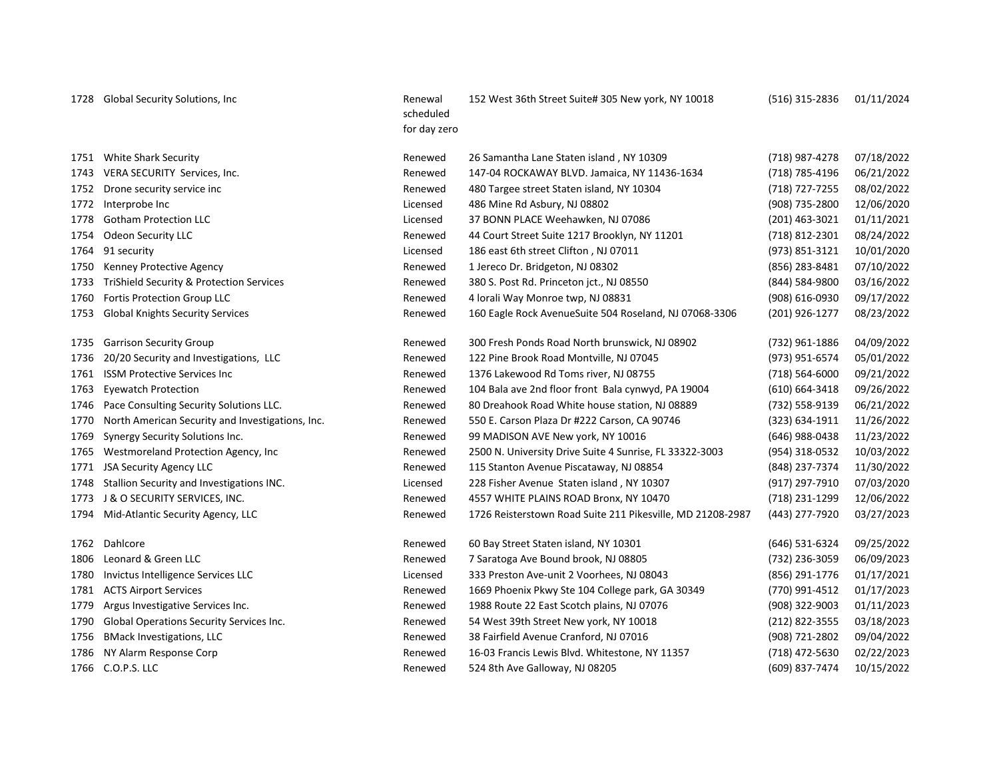1728 Global Security Solutions, Inc **Renewal** 

scheduled for day zero 152 West 36th Street Suite# 305 New york, NY 10018 (516) 315-2836 01/11/2024

|      | 1751 White Shark Security                           | Renewed  | 26 Samantha Lane Staten island, NY 10309                   | (718) 987-4278 | 07/18/2022 |
|------|-----------------------------------------------------|----------|------------------------------------------------------------|----------------|------------|
| 1743 | VERA SECURITY Services, Inc.                        | Renewed  | 147-04 ROCKAWAY BLVD. Jamaica, NY 11436-1634               | (718) 785-4196 | 06/21/2022 |
| 1752 | Drone security service inc                          | Renewed  | 480 Targee street Staten island, NY 10304                  | (718) 727-7255 | 08/02/2022 |
| 1772 | Interprobe Inc                                      | Licensed | 486 Mine Rd Asbury, NJ 08802                               | (908) 735-2800 | 12/06/2020 |
| 1778 | <b>Gotham Protection LLC</b>                        | Licensed | 37 BONN PLACE Weehawken, NJ 07086                          | (201) 463-3021 | 01/11/2021 |
| 1754 | Odeon Security LLC                                  | Renewed  | 44 Court Street Suite 1217 Brooklyn, NY 11201              | (718) 812-2301 | 08/24/2022 |
| 1764 | 91 security                                         | Licensed | 186 east 6th street Clifton, NJ 07011                      | (973) 851-3121 | 10/01/2020 |
| 1750 | Kenney Protective Agency                            | Renewed  | 1 Jereco Dr. Bridgeton, NJ 08302                           | (856) 283-8481 | 07/10/2022 |
| 1733 | <b>TriShield Security &amp; Protection Services</b> | Renewed  | 380 S. Post Rd. Princeton jct., NJ 08550                   | (844) 584-9800 | 03/16/2022 |
| 1760 | Fortis Protection Group LLC                         | Renewed  | 4 lorali Way Monroe twp, NJ 08831                          | (908) 616-0930 | 09/17/2022 |
| 1753 | <b>Global Knights Security Services</b>             | Renewed  | 160 Eagle Rock AvenueSuite 504 Roseland, NJ 07068-3306     | (201) 926-1277 | 08/23/2022 |
| 1735 | <b>Garrison Security Group</b>                      | Renewed  | 300 Fresh Ponds Road North brunswick, NJ 08902             | (732) 961-1886 | 04/09/2022 |
| 1736 | 20/20 Security and Investigations, LLC              | Renewed  | 122 Pine Brook Road Montville, NJ 07045                    | (973) 951-6574 | 05/01/2022 |
| 1761 | <b>ISSM Protective Services Inc</b>                 | Renewed  | 1376 Lakewood Rd Toms river, NJ 08755                      | (718) 564-6000 | 09/21/2022 |
| 1763 | <b>Eyewatch Protection</b>                          | Renewed  | 104 Bala ave 2nd floor front Bala cynwyd, PA 19004         | (610) 664-3418 | 09/26/2022 |
| 1746 | Pace Consulting Security Solutions LLC.             | Renewed  | 80 Dreahook Road White house station, NJ 08889             | (732) 558-9139 | 06/21/2022 |
| 1770 | North American Security and Investigations, Inc.    | Renewed  | 550 E. Carson Plaza Dr #222 Carson, CA 90746               | (323) 634-1911 | 11/26/2022 |
| 1769 | Synergy Security Solutions Inc.                     | Renewed  | 99 MADISON AVE New york, NY 10016                          | (646) 988-0438 | 11/23/2022 |
| 1765 | Westmoreland Protection Agency, Inc.                | Renewed  | 2500 N. University Drive Suite 4 Sunrise, FL 33322-3003    | (954) 318-0532 | 10/03/2022 |
| 1771 | <b>JSA Security Agency LLC</b>                      | Renewed  | 115 Stanton Avenue Piscataway, NJ 08854                    | (848) 237-7374 | 11/30/2022 |
| 1748 | Stallion Security and Investigations INC.           | Licensed | 228 Fisher Avenue Staten island, NY 10307                  | (917) 297-7910 | 07/03/2020 |
| 1773 | J & O SECURITY SERVICES, INC.                       | Renewed  | 4557 WHITE PLAINS ROAD Bronx, NY 10470                     | (718) 231-1299 | 12/06/2022 |
| 1794 | Mid-Atlantic Security Agency, LLC                   | Renewed  | 1726 Reisterstown Road Suite 211 Pikesville, MD 21208-2987 | (443) 277-7920 | 03/27/2023 |
| 1762 | Dahlcore                                            | Renewed  | 60 Bay Street Staten island, NY 10301                      | (646) 531-6324 | 09/25/2022 |
| 1806 | Leonard & Green LLC                                 | Renewed  | 7 Saratoga Ave Bound brook, NJ 08805                       | (732) 236-3059 | 06/09/2023 |
| 1780 | Invictus Intelligence Services LLC                  | Licensed | 333 Preston Ave-unit 2 Voorhees, NJ 08043                  | (856) 291-1776 | 01/17/2021 |
| 1781 | <b>ACTS Airport Services</b>                        | Renewed  | 1669 Phoenix Pkwy Ste 104 College park, GA 30349           | (770) 991-4512 | 01/17/2023 |
| 1779 | Argus Investigative Services Inc.                   | Renewed  | 1988 Route 22 East Scotch plains, NJ 07076                 | (908) 322-9003 | 01/11/2023 |
| 1790 | Global Operations Security Services Inc.            | Renewed  | 54 West 39th Street New york, NY 10018                     | (212) 822-3555 | 03/18/2023 |
| 1756 | <b>BMack Investigations, LLC</b>                    | Renewed  | 38 Fairfield Avenue Cranford, NJ 07016                     | (908) 721-2802 | 09/04/2022 |
| 1786 | NY Alarm Response Corp                              | Renewed  | 16-03 Francis Lewis Blvd. Whitestone, NY 11357             | (718) 472-5630 | 02/22/2023 |
|      | 1766 C.O.P.S. LLC                                   | Renewed  | 524 8th Ave Galloway, NJ 08205                             | (609) 837-7474 | 10/15/2022 |
|      |                                                     |          |                                                            |                |            |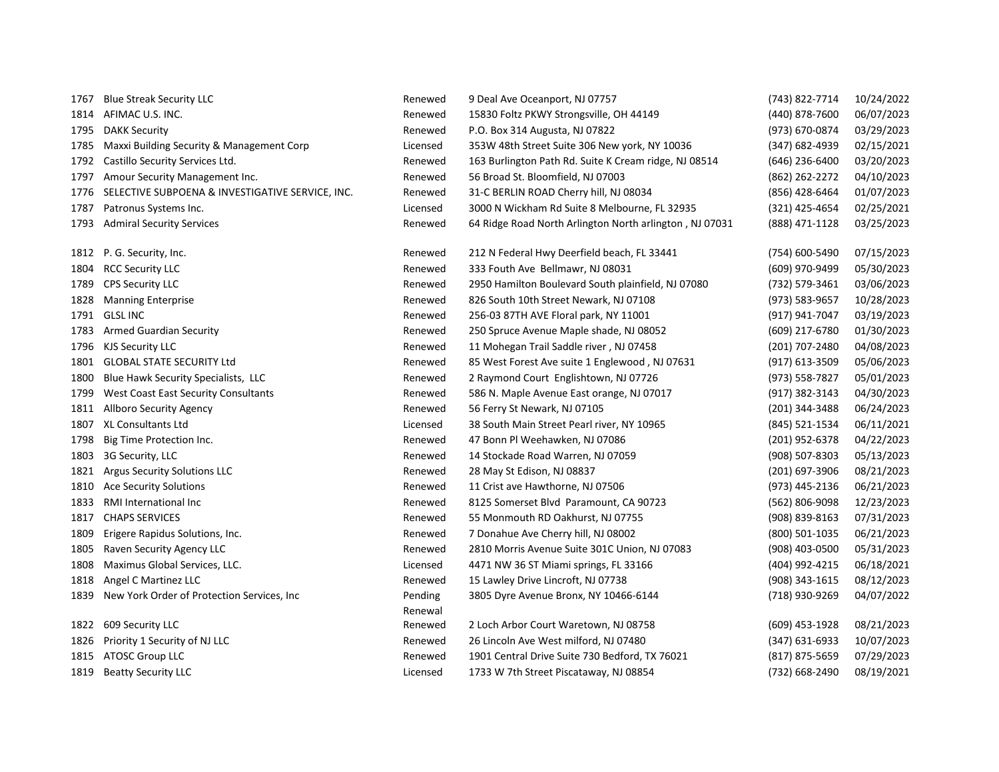| 1767 | <b>Blue Streak Security LLC</b>                  | Renewed  | 9 Deal Ave Oceanport, NJ 07757                          | (743) 822-7714 | 10/24/2022 |
|------|--------------------------------------------------|----------|---------------------------------------------------------|----------------|------------|
|      | 1814 AFIMAC U.S. INC.                            | Renewed  | 15830 Foltz PKWY Strongsville, OH 44149                 | (440) 878-7600 | 06/07/2023 |
| 1795 | <b>DAKK Security</b>                             | Renewed  | P.O. Box 314 Augusta, NJ 07822                          | (973) 670-0874 | 03/29/2023 |
| 1785 | Maxxi Building Security & Management Corp        | Licensed | 353W 48th Street Suite 306 New york, NY 10036           | (347) 682-4939 | 02/15/2021 |
| 1792 | Castillo Security Services Ltd.                  | Renewed  | 163 Burlington Path Rd. Suite K Cream ridge, NJ 08514   | (646) 236-6400 | 03/20/2023 |
| 1797 | Amour Security Management Inc.                   | Renewed  | 56 Broad St. Bloomfield, NJ 07003                       | (862) 262-2272 | 04/10/2023 |
| 1776 | SELECTIVE SUBPOENA & INVESTIGATIVE SERVICE, INC. | Renewed  | 31-C BERLIN ROAD Cherry hill, NJ 08034                  | (856) 428-6464 | 01/07/2023 |
| 1787 | Patronus Systems Inc.                            | Licensed | 3000 N Wickham Rd Suite 8 Melbourne, FL 32935           | (321) 425-4654 | 02/25/2021 |
| 1793 | <b>Admiral Security Services</b>                 | Renewed  | 64 Ridge Road North Arlington North arlington, NJ 07031 | (888) 471-1128 | 03/25/2023 |
| 1812 | P. G. Security, Inc.                             | Renewed  | 212 N Federal Hwy Deerfield beach, FL 33441             | (754) 600-5490 | 07/15/2023 |
| 1804 | <b>RCC Security LLC</b>                          | Renewed  | 333 Fouth Ave Bellmawr, NJ 08031                        | (609) 970-9499 | 05/30/2023 |
| 1789 | <b>CPS Security LLC</b>                          | Renewed  | 2950 Hamilton Boulevard South plainfield, NJ 07080      | (732) 579-3461 | 03/06/2023 |
| 1828 | <b>Manning Enterprise</b>                        | Renewed  | 826 South 10th Street Newark, NJ 07108                  | (973) 583-9657 | 10/28/2023 |
|      | 1791 GLSL INC                                    | Renewed  | 256-03 87TH AVE Floral park, NY 11001                   | (917) 941-7047 | 03/19/2023 |
| 1783 | <b>Armed Guardian Security</b>                   | Renewed  | 250 Spruce Avenue Maple shade, NJ 08052                 | (609) 217-6780 | 01/30/2023 |
| 1796 | <b>KJS Security LLC</b>                          | Renewed  | 11 Mohegan Trail Saddle river, NJ 07458                 | (201) 707-2480 | 04/08/2023 |
| 1801 | <b>GLOBAL STATE SECURITY Ltd</b>                 | Renewed  | 85 West Forest Ave suite 1 Englewood, NJ 07631          | (917) 613-3509 | 05/06/2023 |
| 1800 | Blue Hawk Security Specialists, LLC              | Renewed  | 2 Raymond Court Englishtown, NJ 07726                   | (973) 558-7827 | 05/01/2023 |
| 1799 | West Coast East Security Consultants             | Renewed  | 586 N. Maple Avenue East orange, NJ 07017               | (917) 382-3143 | 04/30/2023 |
| 1811 | Allboro Security Agency                          | Renewed  | 56 Ferry St Newark, NJ 07105                            | (201) 344-3488 | 06/24/2023 |
|      | 1807 XL Consultants Ltd                          | Licensed | 38 South Main Street Pearl river, NY 10965              | (845) 521-1534 | 06/11/2021 |
| 1798 | Big Time Protection Inc.                         | Renewed  | 47 Bonn Pl Weehawken, NJ 07086                          | (201) 952-6378 | 04/22/2023 |
| 1803 | 3G Security, LLC                                 | Renewed  | 14 Stockade Road Warren, NJ 07059                       | (908) 507-8303 | 05/13/2023 |
| 1821 | <b>Argus Security Solutions LLC</b>              | Renewed  | 28 May St Edison, NJ 08837                              | (201) 697-3906 | 08/21/2023 |
| 1810 | <b>Ace Security Solutions</b>                    | Renewed  | 11 Crist ave Hawthorne, NJ 07506                        | (973) 445-2136 | 06/21/2023 |
| 1833 | RMI International Inc                            | Renewed  | 8125 Somerset Blvd Paramount, CA 90723                  | (562) 806-9098 | 12/23/2023 |
| 1817 | <b>CHAPS SERVICES</b>                            | Renewed  | 55 Monmouth RD Oakhurst, NJ 07755                       | (908) 839-8163 | 07/31/2023 |
| 1809 | Erigere Rapidus Solutions, Inc.                  | Renewed  | 7 Donahue Ave Cherry hill, NJ 08002                     | (800) 501-1035 | 06/21/2023 |
| 1805 | Raven Security Agency LLC                        | Renewed  | 2810 Morris Avenue Suite 301C Union, NJ 07083           | (908) 403-0500 | 05/31/2023 |
| 1808 | Maximus Global Services, LLC.                    | Licensed | 4471 NW 36 ST Miami springs, FL 33166                   | (404) 992-4215 | 06/18/2021 |
| 1818 | Angel C Martinez LLC                             | Renewed  | 15 Lawley Drive Lincroft, NJ 07738                      | (908) 343-1615 | 08/12/2023 |
| 1839 | New York Order of Protection Services, Inc.      | Pending  | 3805 Dyre Avenue Bronx, NY 10466-6144                   | (718) 930-9269 | 04/07/2022 |
|      |                                                  | Renewal  |                                                         |                |            |
| 1822 | 609 Security LLC                                 | Renewed  | 2 Loch Arbor Court Waretown, NJ 08758                   | (609) 453-1928 | 08/21/2023 |
| 1826 | Priority 1 Security of NJ LLC                    | Renewed  | 26 Lincoln Ave West milford, NJ 07480                   | (347) 631-6933 | 10/07/2023 |
|      | 1815 ATOSC Group LLC                             | Renewed  | 1901 Central Drive Suite 730 Bedford, TX 76021          | (817) 875-5659 | 07/29/2023 |
| 1819 | <b>Beatty Security LLC</b>                       | Licensed | 1733 W 7th Street Piscataway, NJ 08854                  | (732) 668-2490 | 08/19/2021 |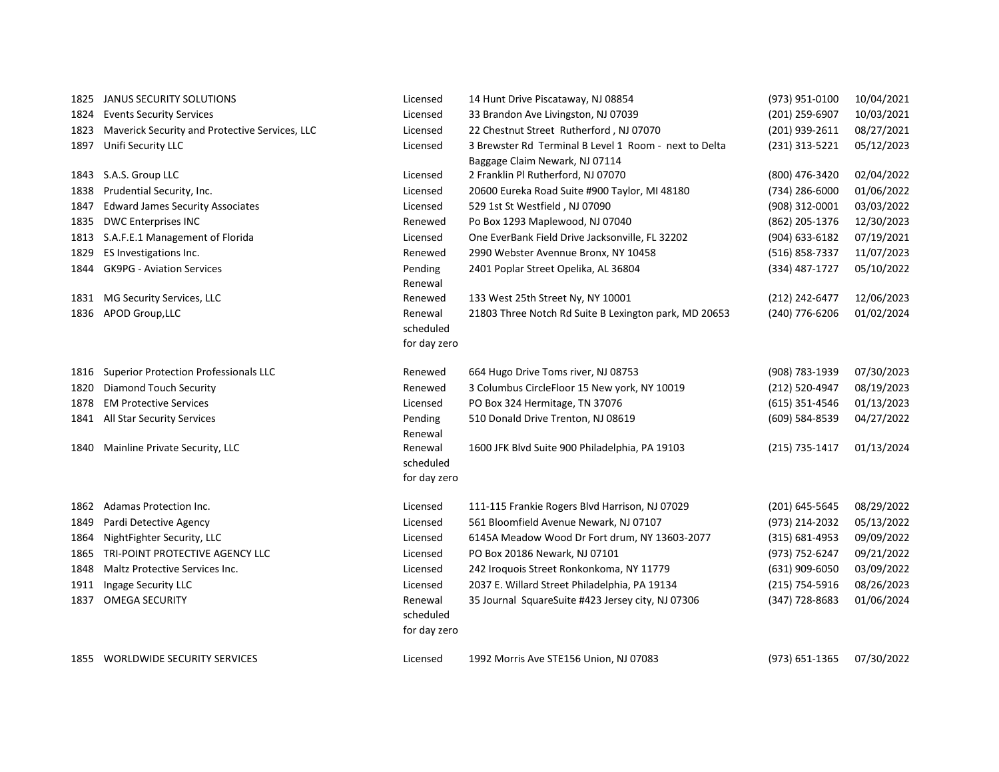| 1825 | JANUS SECURITY SOLUTIONS                       | Licensed     | 14 Hunt Drive Piscataway, NJ 08854                    | (973) 951-0100     | 10/04/2021 |
|------|------------------------------------------------|--------------|-------------------------------------------------------|--------------------|------------|
| 1824 | <b>Events Security Services</b>                | Licensed     | 33 Brandon Ave Livingston, NJ 07039                   | (201) 259-6907     | 10/03/2021 |
| 1823 | Maverick Security and Protective Services, LLC | Licensed     | 22 Chestnut Street Rutherford, NJ 07070               | (201) 939-2611     | 08/27/2021 |
| 1897 | Unifi Security LLC                             | Licensed     | 3 Brewster Rd Terminal B Level 1 Room - next to Delta | (231) 313-5221     | 05/12/2023 |
|      |                                                |              | Baggage Claim Newark, NJ 07114                        |                    |            |
| 1843 | S.A.S. Group LLC                               | Licensed     | 2 Franklin Pl Rutherford, NJ 07070                    | (800) 476-3420     | 02/04/2022 |
| 1838 | Prudential Security, Inc.                      | Licensed     | 20600 Eureka Road Suite #900 Taylor, MI 48180         | (734) 286-6000     | 01/06/2022 |
| 1847 | <b>Edward James Security Associates</b>        | Licensed     | 529 1st St Westfield, NJ 07090                        | (908) 312-0001     | 03/03/2022 |
| 1835 | <b>DWC Enterprises INC</b>                     | Renewed      | Po Box 1293 Maplewood, NJ 07040                       | (862) 205-1376     | 12/30/2023 |
|      | 1813 S.A.F.E.1 Management of Florida           | Licensed     | One EverBank Field Drive Jacksonville, FL 32202       | (904) 633-6182     | 07/19/2021 |
| 1829 | ES Investigations Inc.                         | Renewed      | 2990 Webster Avennue Bronx, NY 10458                  | (516) 858-7337     | 11/07/2023 |
| 1844 | <b>GK9PG - Aviation Services</b>               | Pending      | 2401 Poplar Street Opelika, AL 36804                  | (334) 487-1727     | 05/10/2022 |
|      |                                                | Renewal      |                                                       |                    |            |
| 1831 | MG Security Services, LLC                      | Renewed      | 133 West 25th Street Ny, NY 10001                     | (212) 242-6477     | 12/06/2023 |
| 1836 | APOD Group, LLC                                | Renewal      | 21803 Three Notch Rd Suite B Lexington park, MD 20653 | (240) 776-6206     | 01/02/2024 |
|      |                                                | scheduled    |                                                       |                    |            |
|      |                                                | for day zero |                                                       |                    |            |
| 1816 | <b>Superior Protection Professionals LLC</b>   | Renewed      | 664 Hugo Drive Toms river, NJ 08753                   | (908) 783-1939     | 07/30/2023 |
| 1820 | Diamond Touch Security                         | Renewed      | 3 Columbus CircleFloor 15 New york, NY 10019          | (212) 520-4947     | 08/19/2023 |
| 1878 | <b>EM Protective Services</b>                  | Licensed     | PO Box 324 Hermitage, TN 37076                        | (615) 351-4546     | 01/13/2023 |
|      | 1841 All Star Security Services                | Pending      | 510 Donald Drive Trenton, NJ 08619                    | (609) 584-8539     | 04/27/2022 |
|      |                                                | Renewal      |                                                       |                    |            |
| 1840 | Mainline Private Security, LLC                 | Renewal      | 1600 JFK Blvd Suite 900 Philadelphia, PA 19103        | (215) 735-1417     | 01/13/2024 |
|      |                                                | scheduled    |                                                       |                    |            |
|      |                                                | for day zero |                                                       |                    |            |
| 1862 | Adamas Protection Inc.                         | Licensed     | 111-115 Frankie Rogers Blvd Harrison, NJ 07029        | (201) 645-5645     | 08/29/2022 |
| 1849 | Pardi Detective Agency                         | Licensed     | 561 Bloomfield Avenue Newark, NJ 07107                | (973) 214-2032     | 05/13/2022 |
| 1864 | NightFighter Security, LLC                     | Licensed     | 6145A Meadow Wood Dr Fort drum, NY 13603-2077         | $(315) 681 - 4953$ | 09/09/2022 |
| 1865 | TRI-POINT PROTECTIVE AGENCY LLC                | Licensed     | PO Box 20186 Newark, NJ 07101                         | (973) 752-6247     | 09/21/2022 |
| 1848 | Maltz Protective Services Inc.                 | Licensed     | 242 Iroquois Street Ronkonkoma, NY 11779              | (631) 909-6050     | 03/09/2022 |
| 1911 | Ingage Security LLC                            | Licensed     | 2037 E. Willard Street Philadelphia, PA 19134         | (215) 754-5916     | 08/26/2023 |
| 1837 | <b>OMEGA SECURITY</b>                          | Renewal      | 35 Journal SquareSuite #423 Jersey city, NJ 07306     | $(347)$ 728-8683   | 01/06/2024 |
|      |                                                | scheduled    |                                                       |                    |            |
|      |                                                | for day zero |                                                       |                    |            |
| 1855 | WORLDWIDE SECURITY SERVICES                    | Licensed     | 1992 Morris Ave STE156 Union, NJ 07083                | (973) 651-1365     | 07/30/2022 |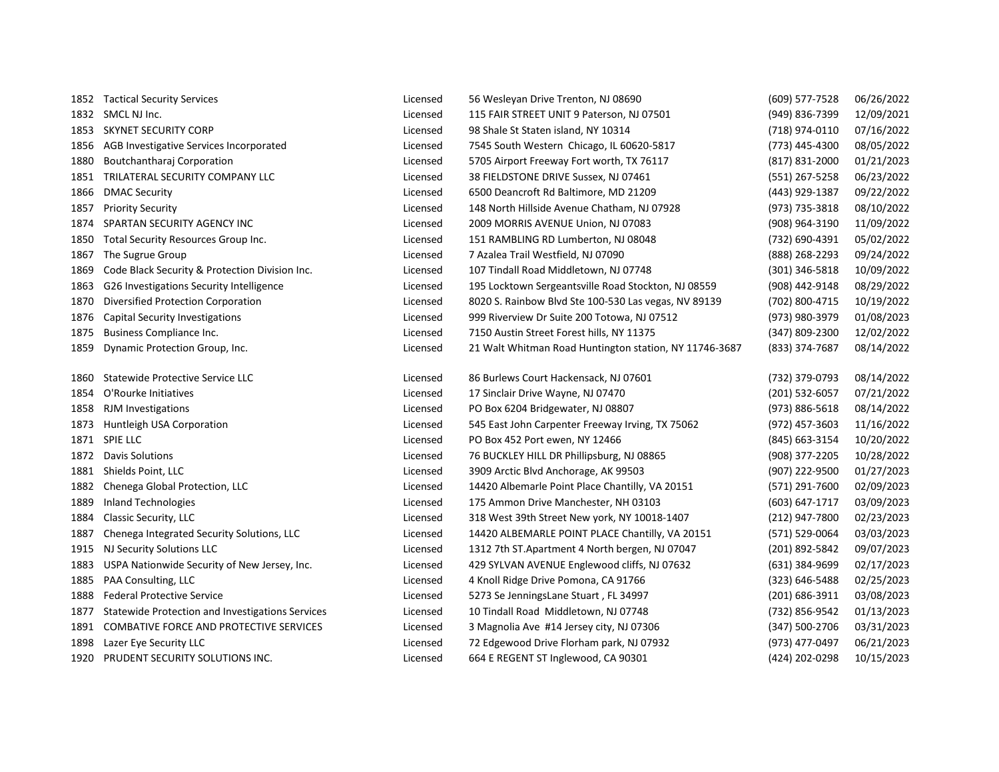|      | 1852 Tactical Security Services                  | Licensed | 56 Wesleyan Drive Trenton, NJ 08690                    | (609) 577-7528 | 06/26/2022 |
|------|--------------------------------------------------|----------|--------------------------------------------------------|----------------|------------|
|      | 1832 SMCL NJ Inc.                                | Licensed | 115 FAIR STREET UNIT 9 Paterson, NJ 07501              | (949) 836-7399 | 12/09/2021 |
| 1853 | SKYNET SECURITY CORP                             | Licensed | 98 Shale St Staten island, NY 10314                    | (718) 974-0110 | 07/16/2022 |
|      | 1856 AGB Investigative Services Incorporated     | Licensed | 7545 South Western Chicago, IL 60620-5817              | (773) 445-4300 | 08/05/2022 |
| 1880 | Boutchantharaj Corporation                       | Licensed | 5705 Airport Freeway Fort worth, TX 76117              | (817) 831-2000 | 01/21/2023 |
|      | 1851 TRILATERAL SECURITY COMPANY LLC             | Licensed | 38 FIELDSTONE DRIVE Sussex, NJ 07461                   | (551) 267-5258 | 06/23/2022 |
|      | 1866 DMAC Security                               | Licensed | 6500 Deancroft Rd Baltimore, MD 21209                  | (443) 929-1387 | 09/22/2022 |
| 1857 | <b>Priority Security</b>                         | Licensed | 148 North Hillside Avenue Chatham, NJ 07928            | (973) 735-3818 | 08/10/2022 |
| 1874 | SPARTAN SECURITY AGENCY INC                      | Licensed | 2009 MORRIS AVENUE Union, NJ 07083                     | (908) 964-3190 | 11/09/2022 |
|      | 1850 Total Security Resources Group Inc.         | Licensed | 151 RAMBLING RD Lumberton, NJ 08048                    | (732) 690-4391 | 05/02/2022 |
| 1867 | The Sugrue Group                                 | Licensed | 7 Azalea Trail Westfield, NJ 07090                     | (888) 268-2293 | 09/24/2022 |
| 1869 | Code Black Security & Protection Division Inc.   | Licensed | 107 Tindall Road Middletown, NJ 07748                  | (301) 346-5818 | 10/09/2022 |
| 1863 | G26 Investigations Security Intelligence         | Licensed | 195 Locktown Sergeantsville Road Stockton, NJ 08559    | (908) 442-9148 | 08/29/2022 |
| 1870 | Diversified Protection Corporation               | Licensed | 8020 S. Rainbow Blvd Ste 100-530 Las vegas, NV 89139   | (702) 800-4715 | 10/19/2022 |
| 1876 | Capital Security Investigations                  | Licensed | 999 Riverview Dr Suite 200 Totowa, NJ 07512            | (973) 980-3979 | 01/08/2023 |
| 1875 | Business Compliance Inc.                         | Licensed | 7150 Austin Street Forest hills, NY 11375              | (347) 809-2300 | 12/02/2022 |
| 1859 | Dynamic Protection Group, Inc.                   | Licensed | 21 Walt Whitman Road Huntington station, NY 11746-3687 | (833) 374-7687 | 08/14/2022 |
|      |                                                  |          |                                                        |                |            |
| 1860 | Statewide Protective Service LLC                 | Licensed | 86 Burlews Court Hackensack, NJ 07601                  | (732) 379-0793 | 08/14/2022 |
| 1854 | O'Rourke Initiatives                             | Licensed | 17 Sinclair Drive Wayne, NJ 07470                      | (201) 532-6057 | 07/21/2022 |
| 1858 | <b>RJM Investigations</b>                        | Licensed | PO Box 6204 Bridgewater, NJ 08807                      | (973) 886-5618 | 08/14/2022 |
| 1873 | Huntleigh USA Corporation                        | Licensed | 545 East John Carpenter Freeway Irving, TX 75062       | (972) 457-3603 | 11/16/2022 |
| 1871 | <b>SPIE LLC</b>                                  | Licensed | PO Box 452 Port ewen, NY 12466                         | (845) 663-3154 | 10/20/2022 |
| 1872 | <b>Davis Solutions</b>                           | Licensed | 76 BUCKLEY HILL DR Phillipsburg, NJ 08865              | (908) 377-2205 | 10/28/2022 |
| 1881 | Shields Point, LLC                               | Licensed | 3909 Arctic Blvd Anchorage, AK 99503                   | (907) 222-9500 | 01/27/2023 |
| 1882 | Chenega Global Protection, LLC                   | Licensed | 14420 Albemarle Point Place Chantilly, VA 20151        | (571) 291-7600 | 02/09/2023 |
| 1889 | <b>Inland Technologies</b>                       | Licensed | 175 Ammon Drive Manchester, NH 03103                   | (603) 647-1717 | 03/09/2023 |
| 1884 | Classic Security, LLC                            | Licensed | 318 West 39th Street New york, NY 10018-1407           | (212) 947-7800 | 02/23/2023 |
| 1887 | Chenega Integrated Security Solutions, LLC       | Licensed | 14420 ALBEMARLE POINT PLACE Chantilly, VA 20151        | (571) 529-0064 | 03/03/2023 |
| 1915 | NJ Security Solutions LLC                        | Licensed | 1312 7th ST. Apartment 4 North bergen, NJ 07047        | (201) 892-5842 | 09/07/2023 |
| 1883 | USPA Nationwide Security of New Jersey, Inc.     | Licensed | 429 SYLVAN AVENUE Englewood cliffs, NJ 07632           | (631) 384-9699 | 02/17/2023 |
| 1885 | PAA Consulting, LLC                              | Licensed | 4 Knoll Ridge Drive Pomona, CA 91766                   | (323) 646-5488 | 02/25/2023 |
| 1888 | <b>Federal Protective Service</b>                | Licensed | 5273 Se JenningsLane Stuart, FL 34997                  | (201) 686-3911 | 03/08/2023 |
| 1877 | Statewide Protection and Investigations Services | Licensed | 10 Tindall Road Middletown, NJ 07748                   | (732) 856-9542 | 01/13/2023 |
| 1891 | COMBATIVE FORCE AND PROTECTIVE SERVICES          | Licensed | 3 Magnolia Ave #14 Jersey city, NJ 07306               | (347) 500-2706 | 03/31/2023 |
| 1898 | Lazer Eye Security LLC                           | Licensed | 72 Edgewood Drive Florham park, NJ 07932               | (973) 477-0497 | 06/21/2023 |
|      | 1920 PRUDENT SECURITY SOLUTIONS INC.             | Licensed | 664 E REGENT ST Inglewood, CA 90301                    | (424) 202-0298 | 10/15/2023 |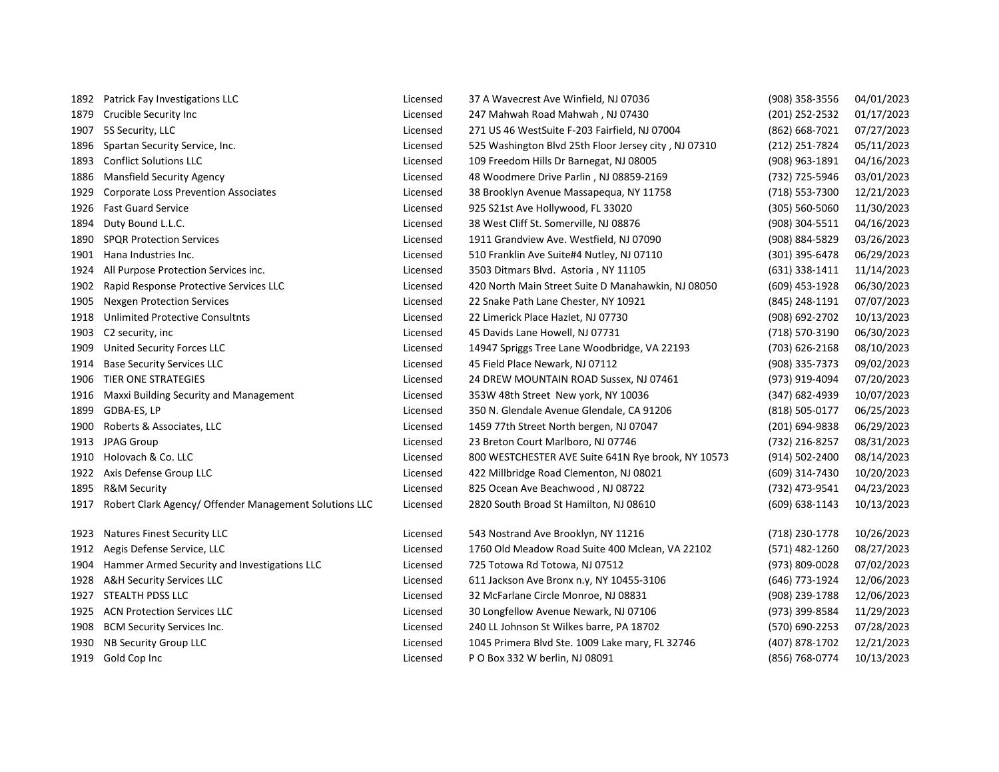| 1892 | Patrick Fay Investigations LLC                         | Licensed | 37 A Wavecrest Ave Winfield, NJ 07036                | (908) 358-3556     | 04/01/2023 |
|------|--------------------------------------------------------|----------|------------------------------------------------------|--------------------|------------|
| 1879 | Crucible Security Inc                                  | Licensed | 247 Mahwah Road Mahwah, NJ 07430                     | (201) 252-2532     | 01/17/2023 |
| 1907 | 5S Security, LLC                                       | Licensed | 271 US 46 WestSuite F-203 Fairfield, NJ 07004        | (862) 668-7021     | 07/27/2023 |
| 1896 | Spartan Security Service, Inc.                         | Licensed | 525 Washington Blvd 25th Floor Jersey city, NJ 07310 | (212) 251-7824     | 05/11/2023 |
| 1893 | <b>Conflict Solutions LLC</b>                          | Licensed | 109 Freedom Hills Dr Barnegat, NJ 08005              | (908) 963-1891     | 04/16/2023 |
| 1886 | <b>Mansfield Security Agency</b>                       | Licensed | 48 Woodmere Drive Parlin, NJ 08859-2169              | (732) 725-5946     | 03/01/2023 |
| 1929 | <b>Corporate Loss Prevention Associates</b>            | Licensed | 38 Brooklyn Avenue Massapequa, NY 11758              | (718) 553-7300     | 12/21/2023 |
| 1926 | <b>Fast Guard Service</b>                              | Licensed | 925 S21st Ave Hollywood, FL 33020                    | $(305) 560 - 5060$ | 11/30/2023 |
| 1894 | Duty Bound L.L.C.                                      | Licensed | 38 West Cliff St. Somerville, NJ 08876               | (908) 304-5511     | 04/16/2023 |
| 1890 | <b>SPQR Protection Services</b>                        | Licensed | 1911 Grandview Ave. Westfield, NJ 07090              | (908) 884-5829     | 03/26/2023 |
| 1901 | Hana Industries Inc.                                   | Licensed | 510 Franklin Ave Suite#4 Nutley, NJ 07110            | (301) 395-6478     | 06/29/2023 |
| 1924 | All Purpose Protection Services inc.                   | Licensed | 3503 Ditmars Blvd. Astoria, NY 11105                 | $(631)$ 338-1411   | 11/14/2023 |
| 1902 | Rapid Response Protective Services LLC                 | Licensed | 420 North Main Street Suite D Manahawkin, NJ 08050   | (609) 453-1928     | 06/30/2023 |
| 1905 | <b>Nexgen Protection Services</b>                      | Licensed | 22 Snake Path Lane Chester, NY 10921                 | (845) 248-1191     | 07/07/2023 |
| 1918 | <b>Unlimited Protective Consultnts</b>                 | Licensed | 22 Limerick Place Hazlet, NJ 07730                   | (908) 692-2702     | 10/13/2023 |
| 1903 | C2 security, inc                                       | Licensed | 45 Davids Lane Howell, NJ 07731                      | (718) 570-3190     | 06/30/2023 |
| 1909 | <b>United Security Forces LLC</b>                      | Licensed | 14947 Spriggs Tree Lane Woodbridge, VA 22193         | (703) 626-2168     | 08/10/2023 |
| 1914 | <b>Base Security Services LLC</b>                      | Licensed | 45 Field Place Newark, NJ 07112                      | (908) 335-7373     | 09/02/2023 |
| 1906 | TIER ONE STRATEGIES                                    | Licensed | 24 DREW MOUNTAIN ROAD Sussex, NJ 07461               | (973) 919-4094     | 07/20/2023 |
| 1916 | Maxxi Building Security and Management                 | Licensed | 353W 48th Street New york, NY 10036                  | (347) 682-4939     | 10/07/2023 |
| 1899 | GDBA-ES, LP                                            | Licensed | 350 N. Glendale Avenue Glendale, CA 91206            | (818) 505-0177     | 06/25/2023 |
| 1900 | Roberts & Associates, LLC                              | Licensed | 1459 77th Street North bergen, NJ 07047              | (201) 694-9838     | 06/29/2023 |
| 1913 | <b>JPAG Group</b>                                      | Licensed | 23 Breton Court Marlboro, NJ 07746                   | (732) 216-8257     | 08/31/2023 |
| 1910 | Holovach & Co. LLC                                     | Licensed | 800 WESTCHESTER AVE Suite 641N Rye brook, NY 10573   | (914) 502-2400     | 08/14/2023 |
| 1922 | Axis Defense Group LLC                                 | Licensed | 422 Millbridge Road Clementon, NJ 08021              | (609) 314-7430     | 10/20/2023 |
| 1895 | <b>R&amp;M Security</b>                                | Licensed | 825 Ocean Ave Beachwood, NJ 08722                    | (732) 473-9541     | 04/23/2023 |
| 1917 | Robert Clark Agency/ Offender Management Solutions LLC | Licensed | 2820 South Broad St Hamilton, NJ 08610               | $(609) 638 - 1143$ | 10/13/2023 |
|      |                                                        |          |                                                      |                    |            |
| 1923 | <b>Natures Finest Security LLC</b>                     | Licensed | 543 Nostrand Ave Brooklyn, NY 11216                  | (718) 230-1778     | 10/26/2023 |
| 1912 | Aegis Defense Service, LLC                             | Licensed | 1760 Old Meadow Road Suite 400 Mclean, VA 22102      | (571) 482-1260     | 08/27/2023 |
| 1904 | Hammer Armed Security and Investigations LLC           | Licensed | 725 Totowa Rd Totowa, NJ 07512                       | (973) 809-0028     | 07/02/2023 |
| 1928 | <b>A&amp;H Security Services LLC</b>                   | Licensed | 611 Jackson Ave Bronx n.y, NY 10455-3106             | (646) 773-1924     | 12/06/2023 |
| 1927 | STEALTH PDSS LLC                                       | Licensed | 32 McFarlane Circle Monroe, NJ 08831                 | (908) 239-1788     | 12/06/2023 |
| 1925 | <b>ACN Protection Services LLC</b>                     | Licensed | 30 Longfellow Avenue Newark, NJ 07106                | (973) 399-8584     | 11/29/2023 |
| 1908 | <b>BCM Security Services Inc.</b>                      | Licensed | 240 LL Johnson St Wilkes barre, PA 18702             | (570) 690-2253     | 07/28/2023 |
| 1930 | NB Security Group LLC                                  | Licensed | 1045 Primera Blvd Ste. 1009 Lake mary, FL 32746      | (407) 878-1702     | 12/21/2023 |
|      | 1919 Gold Cop Inc                                      | Licensed | P O Box 332 W berlin, NJ 08091                       | (856) 768-0774     | 10/13/2023 |